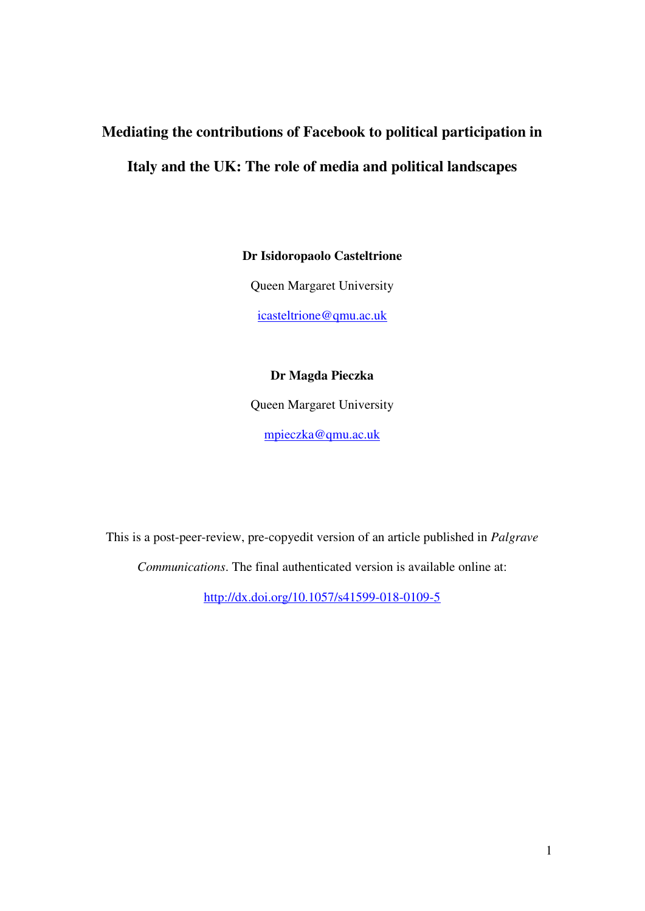# **Mediating the contributions of Facebook to political participation in Italy and the UK: The role of media and political landscapes**

**Dr Isidoropaolo Casteltrione** 

Queen Margaret University

[icasteltrione@qmu.ac.uk](mailto:icasteltrione@qmu.ac.uk)

### **Dr Magda Pieczka**

Queen Margaret University

[mpieczka@qmu.ac.uk](mailto:mpieczka@qmu.ac.uk)

This is a post-peer-review, pre-copyedit version of an article published in *Palgrave* 

*Communications*. The final authenticated version is available online at:

<http://dx.doi.org/10.1057/s41599-018-0109-5>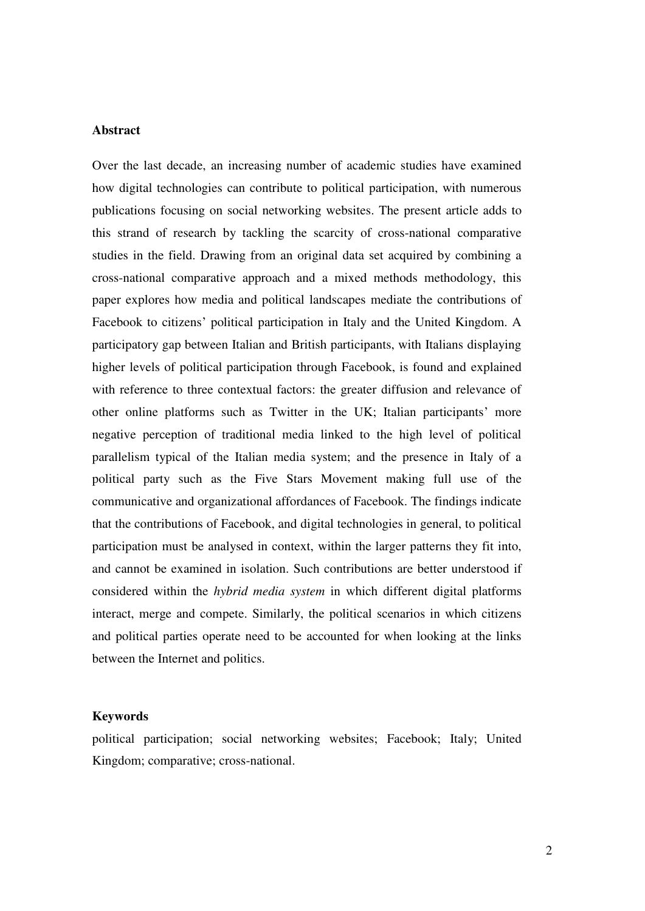#### **Abstract**

Over the last decade, an increasing number of academic studies have examined how digital technologies can contribute to political participation, with numerous publications focusing on social networking websites. The present article adds to this strand of research by tackling the scarcity of cross-national comparative studies in the field. Drawing from an original data set acquired by combining a cross-national comparative approach and a mixed methods methodology, this paper explores how media and political landscapes mediate the contributions of Facebook to citizens' political participation in Italy and the United Kingdom. A participatory gap between Italian and British participants, with Italians displaying higher levels of political participation through Facebook, is found and explained with reference to three contextual factors: the greater diffusion and relevance of other online platforms such as Twitter in the UK; Italian participants' more negative perception of traditional media linked to the high level of political parallelism typical of the Italian media system; and the presence in Italy of a political party such as the Five Stars Movement making full use of the communicative and organizational affordances of Facebook. The findings indicate that the contributions of Facebook, and digital technologies in general, to political participation must be analysed in context, within the larger patterns they fit into, and cannot be examined in isolation. Such contributions are better understood if considered within the *hybrid media system* in which different digital platforms interact, merge and compete. Similarly, the political scenarios in which citizens and political parties operate need to be accounted for when looking at the links between the Internet and politics.

#### **Keywords**

political participation; social networking websites; Facebook; Italy; United Kingdom; comparative; cross-national.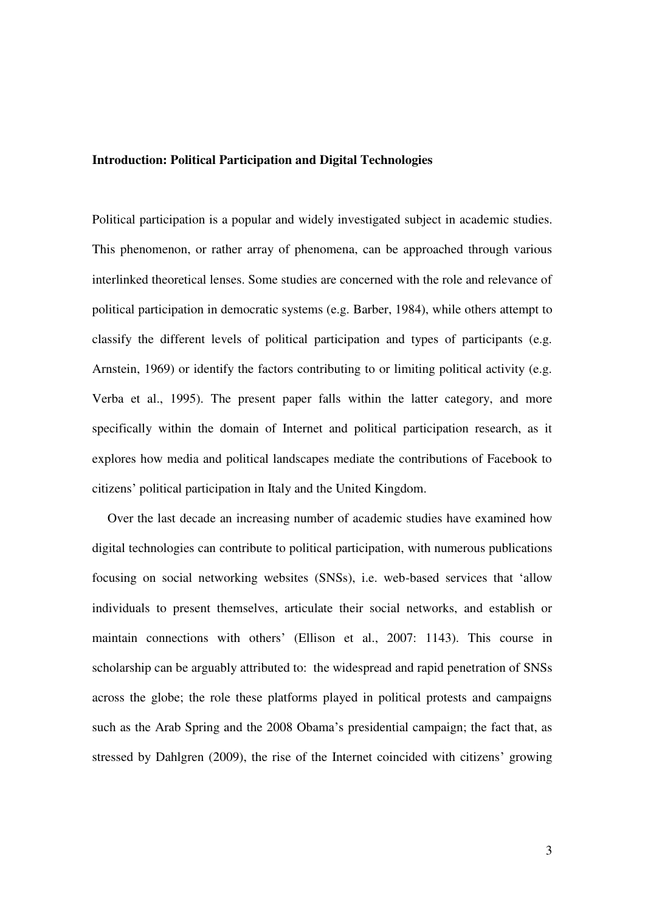#### **Introduction: Political Participation and Digital Technologies**

Political participation is a popular and widely investigated subject in academic studies. This phenomenon, or rather array of phenomena, can be approached through various interlinked theoretical lenses. Some studies are concerned with the role and relevance of political participation in democratic systems (e.g. Barber, 1984), while others attempt to classify the different levels of political participation and types of participants (e.g. Arnstein, 1969) or identify the factors contributing to or limiting political activity (e.g. Verba et al., 1995). The present paper falls within the latter category, and more specifically within the domain of Internet and political participation research, as it explores how media and political landscapes mediate the contributions of Facebook to citizens' political participation in Italy and the United Kingdom.

Over the last decade an increasing number of academic studies have examined how digital technologies can contribute to political participation, with numerous publications focusing on social networking websites (SNSs), i.e. web-based services that 'allow individuals to present themselves, articulate their social networks, and establish or maintain connections with others' (Ellison et al., 2007: 1143). This course in scholarship can be arguably attributed to: the widespread and rapid penetration of SNSs across the globe; the role these platforms played in political protests and campaigns such as the Arab Spring and the 2008 Obama's presidential campaign; the fact that, as stressed by Dahlgren (2009), the rise of the Internet coincided with citizens' growing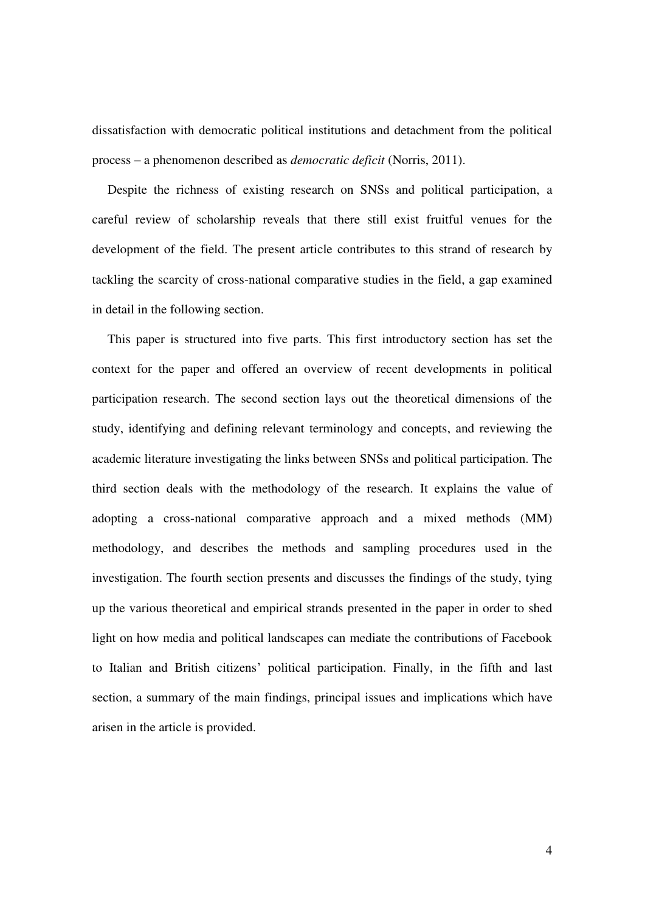dissatisfaction with democratic political institutions and detachment from the political process – a phenomenon described as *democratic deficit* (Norris, 2011).

Despite the richness of existing research on SNSs and political participation, a careful review of scholarship reveals that there still exist fruitful venues for the development of the field. The present article contributes to this strand of research by tackling the scarcity of cross-national comparative studies in the field, a gap examined in detail in the following section.

This paper is structured into five parts. This first introductory section has set the context for the paper and offered an overview of recent developments in political participation research. The second section lays out the theoretical dimensions of the study, identifying and defining relevant terminology and concepts, and reviewing the academic literature investigating the links between SNSs and political participation. The third section deals with the methodology of the research. It explains the value of adopting a cross-national comparative approach and a mixed methods (MM) methodology, and describes the methods and sampling procedures used in the investigation. The fourth section presents and discusses the findings of the study, tying up the various theoretical and empirical strands presented in the paper in order to shed light on how media and political landscapes can mediate the contributions of Facebook to Italian and British citizens' political participation. Finally, in the fifth and last section, a summary of the main findings, principal issues and implications which have arisen in the article is provided.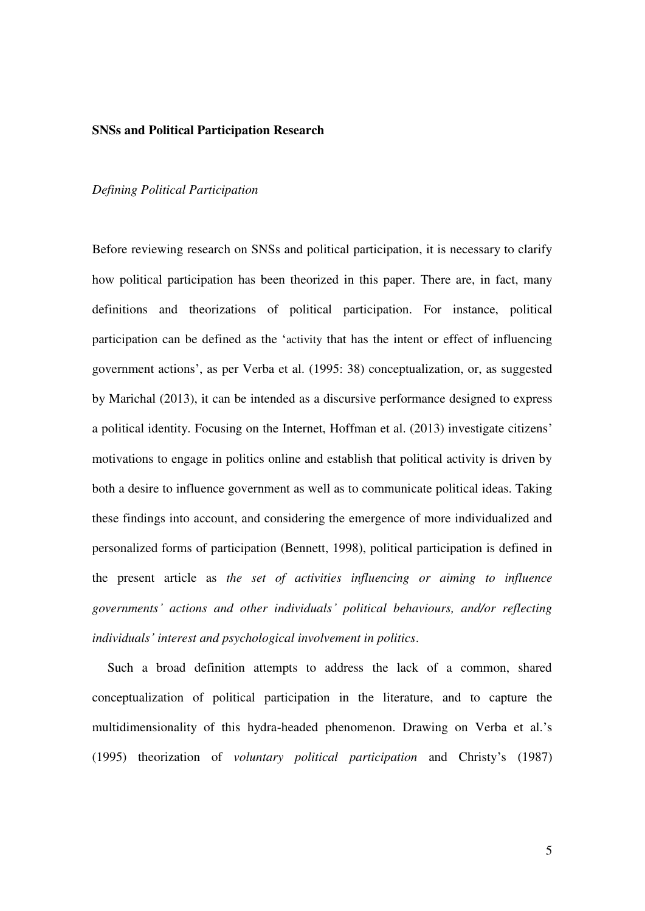#### **SNSs and Political Participation Research**

#### *Defining Political Participation*

Before reviewing research on SNSs and political participation, it is necessary to clarify how political participation has been theorized in this paper. There are, in fact, many definitions and theorizations of political participation. For instance, political participation can be defined as the 'activity that has the intent or effect of influencing government actions', as per Verba et al. (1995: 38) conceptualization, or, as suggested by Marichal (2013), it can be intended as a discursive performance designed to express a political identity. Focusing on the Internet, Hoffman et al. (2013) investigate citizens' motivations to engage in politics online and establish that political activity is driven by both a desire to influence government as well as to communicate political ideas. Taking these findings into account, and considering the emergence of more individualized and personalized forms of participation (Bennett, 1998), political participation is defined in the present article as *the set of activities influencing or aiming to influence governments' actions and other individuals' political behaviours, and/or reflecting individuals' interest and psychological involvement in politics*.

Such a broad definition attempts to address the lack of a common, shared conceptualization of political participation in the literature, and to capture the multidimensionality of this hydra-headed phenomenon. Drawing on Verba et al.'s (1995) theorization of *voluntary political participation* and Christy's (1987)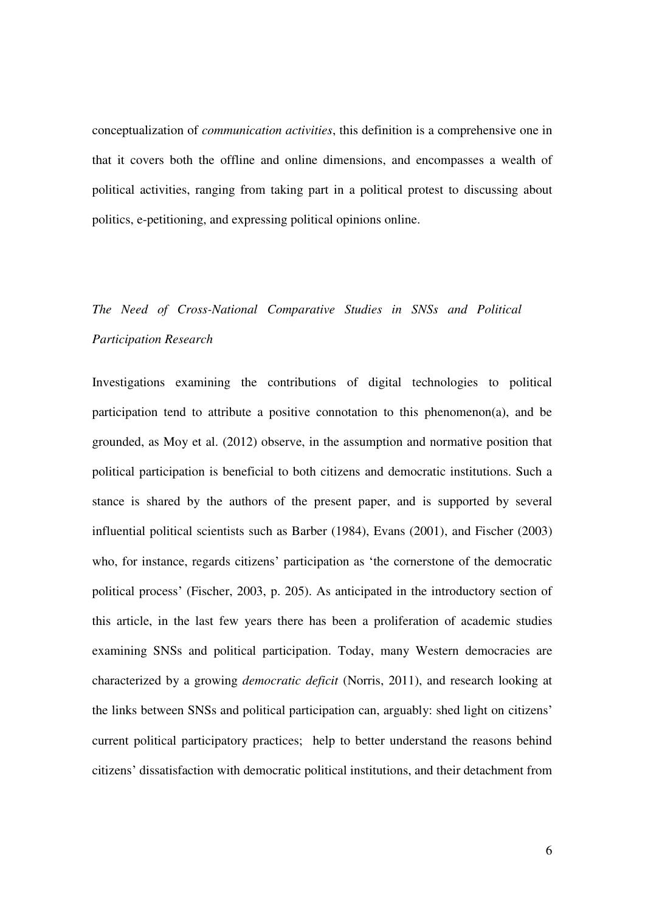conceptualization of *communication activities*, this definition is a comprehensive one in that it covers both the offline and online dimensions, and encompasses a wealth of political activities, ranging from taking part in a political protest to discussing about politics, e-petitioning, and expressing political opinions online.

## *The Need of Cross-National Comparative Studies in SNSs and Political Participation Research*

Investigations examining the contributions of digital technologies to political participation tend to attribute a positive connotation to this phenomenon(a), and be grounded, as Moy et al. (2012) observe, in the assumption and normative position that political participation is beneficial to both citizens and democratic institutions. Such a stance is shared by the authors of the present paper, and is supported by several influential political scientists such as Barber (1984), Evans (2001), and Fischer (2003) who, for instance, regards citizens' participation as 'the cornerstone of the democratic political process' (Fischer, 2003, p. 205). As anticipated in the introductory section of this article, in the last few years there has been a proliferation of academic studies examining SNSs and political participation. Today, many Western democracies are characterized by a growing *democratic deficit* (Norris, 2011), and research looking at the links between SNSs and political participation can, arguably: shed light on citizens' current political participatory practices; help to better understand the reasons behind citizens' dissatisfaction with democratic political institutions, and their detachment from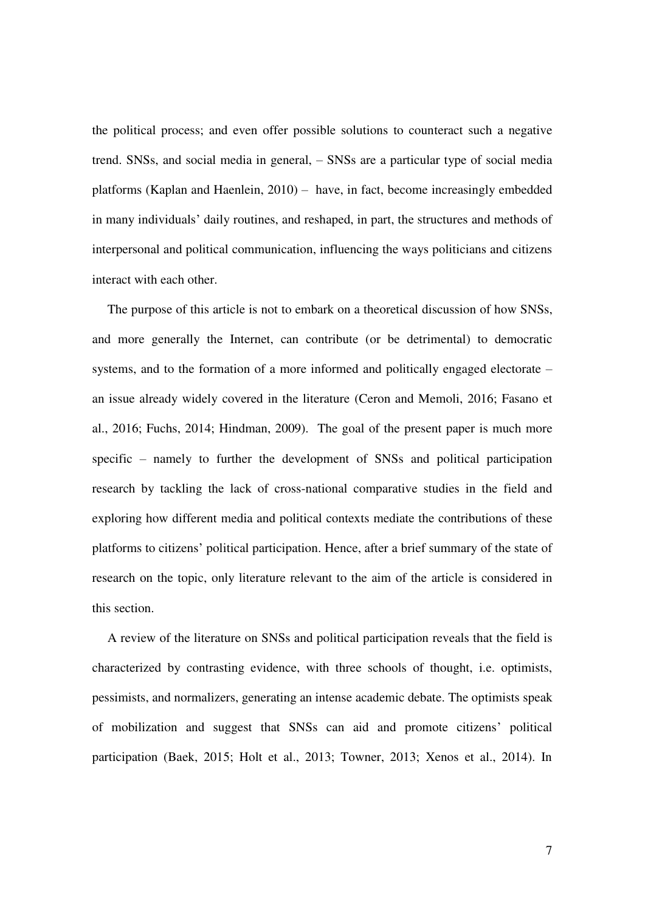the political process; and even offer possible solutions to counteract such a negative trend. SNSs, and social media in general, – SNSs are a particular type of social media platforms (Kaplan and Haenlein, 2010) – have, in fact, become increasingly embedded in many individuals' daily routines, and reshaped, in part, the structures and methods of interpersonal and political communication, influencing the ways politicians and citizens interact with each other.

The purpose of this article is not to embark on a theoretical discussion of how SNSs, and more generally the Internet, can contribute (or be detrimental) to democratic systems, and to the formation of a more informed and politically engaged electorate – an issue already widely covered in the literature (Ceron and Memoli, 2016; Fasano et al., 2016; Fuchs, 2014; Hindman, 2009). The goal of the present paper is much more specific – namely to further the development of SNSs and political participation research by tackling the lack of cross-national comparative studies in the field and exploring how different media and political contexts mediate the contributions of these platforms to citizens' political participation. Hence, after a brief summary of the state of research on the topic, only literature relevant to the aim of the article is considered in this section.

A review of the literature on SNSs and political participation reveals that the field is characterized by contrasting evidence, with three schools of thought, i.e. optimists, pessimists, and normalizers, generating an intense academic debate. The optimists speak of mobilization and suggest that SNSs can aid and promote citizens' political participation (Baek, 2015; Holt et al., 2013; Towner, 2013; Xenos et al., 2014). In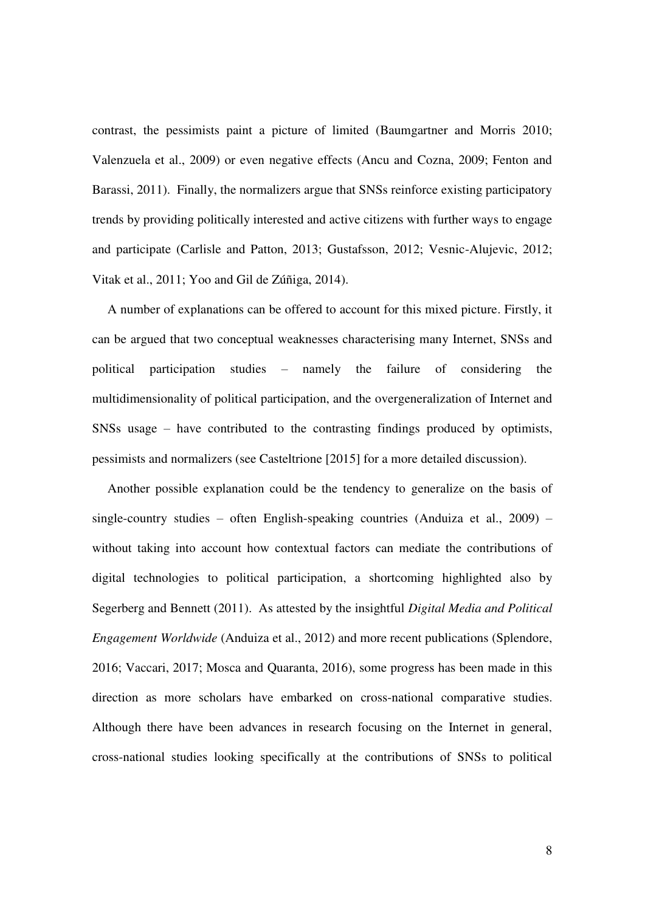contrast, the pessimists paint a picture of limited (Baumgartner and Morris 2010; Valenzuela et al., 2009) or even negative effects (Ancu and Cozna, 2009; Fenton and Barassi, 2011). Finally, the normalizers argue that SNSs reinforce existing participatory trends by providing politically interested and active citizens with further ways to engage and participate (Carlisle and Patton, 2013; Gustafsson, 2012; Vesnic-Alujevic, 2012; Vitak et al., 2011; Yoo and Gil de Zúñiga, 2014).

A number of explanations can be offered to account for this mixed picture. Firstly, it can be argued that two conceptual weaknesses characterising many Internet, SNSs and political participation studies – namely the failure of considering the multidimensionality of political participation, and the overgeneralization of Internet and SNSs usage – have contributed to the contrasting findings produced by optimists, pessimists and normalizers (see Casteltrione [2015] for a more detailed discussion).

Another possible explanation could be the tendency to generalize on the basis of single-country studies – often English-speaking countries (Anduiza et al., 2009) – without taking into account how contextual factors can mediate the contributions of digital technologies to political participation, a shortcoming highlighted also by Segerberg and Bennett (2011). As attested by the insightful *Digital Media and Political Engagement Worldwide* (Anduiza et al., 2012) and more recent publications (Splendore, 2016; Vaccari, 2017; Mosca and Quaranta, 2016), some progress has been made in this direction as more scholars have embarked on cross-national comparative studies. Although there have been advances in research focusing on the Internet in general, cross-national studies looking specifically at the contributions of SNSs to political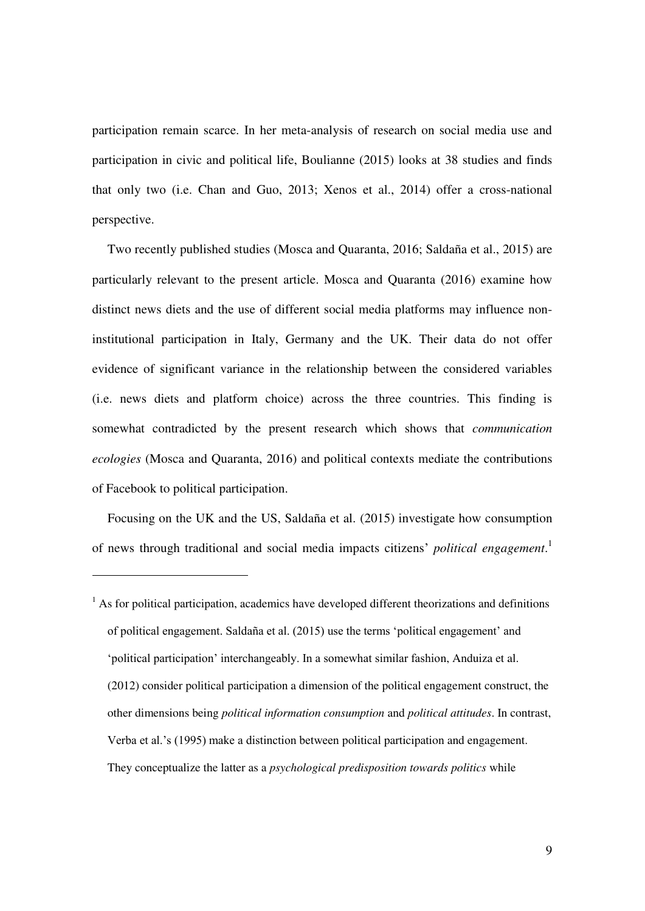participation remain scarce. In her meta-analysis of research on social media use and participation in civic and political life, Boulianne (2015) looks at 38 studies and finds that only two (i.e. Chan and Guo, 2013; Xenos et al., 2014) offer a cross-national perspective.

Two recently published studies (Mosca and Quaranta, 2016; Saldaña et al., 2015) are particularly relevant to the present article. Mosca and Quaranta (2016) examine how distinct news diets and the use of different social media platforms may influence noninstitutional participation in Italy, Germany and the UK. Their data do not offer evidence of significant variance in the relationship between the considered variables (i.e. news diets and platform choice) across the three countries. This finding is somewhat contradicted by the present research which shows that *communication ecologies* (Mosca and Quaranta, 2016) and political contexts mediate the contributions of Facebook to political participation.

Focusing on the UK and the US, Saldaña et al. (2015) investigate how consumption of news through traditional and social media impacts citizens' *political engagement*. 1

-

<sup>&</sup>lt;sup>1</sup> As for political participation, academics have developed different theorizations and definitions of political engagement. Saldaña et al. (2015) use the terms 'political engagement' and 'political participation' interchangeably. In a somewhat similar fashion, Anduiza et al. (2012) consider political participation a dimension of the political engagement construct, the other dimensions being *political information consumption* and *political attitudes*. In contrast, Verba et al.'s (1995) make a distinction between political participation and engagement. They conceptualize the latter as a *psychological predisposition towards politics* while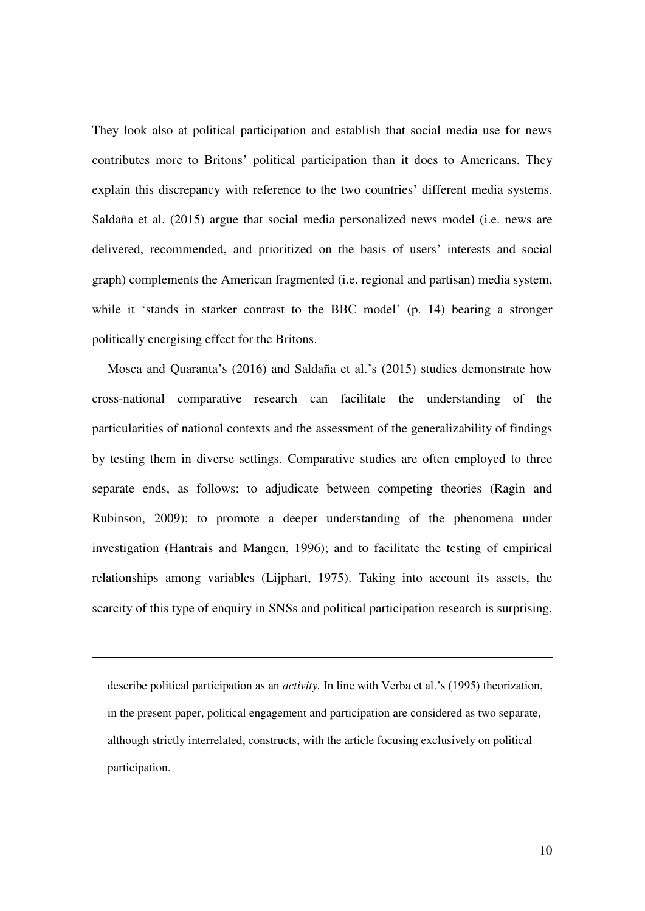They look also at political participation and establish that social media use for news contributes more to Britons' political participation than it does to Americans. They explain this discrepancy with reference to the two countries' different media systems. Saldaña et al. (2015) argue that social media personalized news model (i.e. news are delivered, recommended, and prioritized on the basis of users' interests and social graph) complements the American fragmented (i.e. regional and partisan) media system, while it 'stands in starker contrast to the BBC model' (p. 14) bearing a stronger politically energising effect for the Britons.

Mosca and Quaranta's (2016) and Saldaña et al.'s (2015) studies demonstrate how cross-national comparative research can facilitate the understanding of the particularities of national contexts and the assessment of the generalizability of findings by testing them in diverse settings. Comparative studies are often employed to three separate ends, as follows: to adjudicate between competing theories (Ragin and Rubinson, 2009); to promote a deeper understanding of the phenomena under investigation (Hantrais and Mangen, 1996); and to facilitate the testing of empirical relationships among variables (Lijphart, 1975). Taking into account its assets, the scarcity of this type of enquiry in SNSs and political participation research is surprising,

describe political participation as an *activity.* In line with Verba et al.'s (1995) theorization, in the present paper, political engagement and participation are considered as two separate, although strictly interrelated, constructs, with the article focusing exclusively on political participation.

-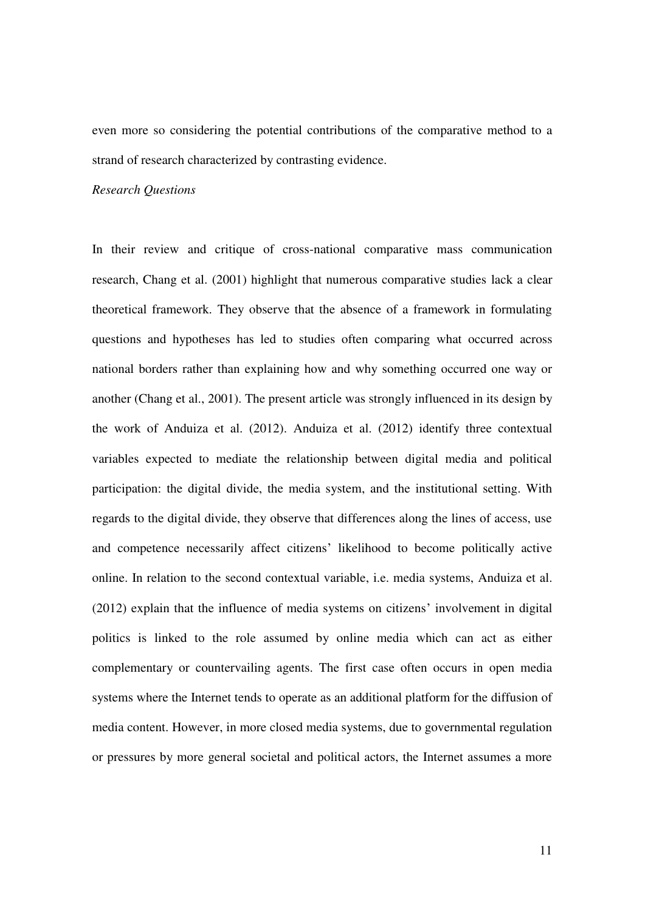even more so considering the potential contributions of the comparative method to a strand of research characterized by contrasting evidence.

#### *Research Questions*

In their review and critique of cross-national comparative mass communication research, Chang et al. (2001) highlight that numerous comparative studies lack a clear theoretical framework. They observe that the absence of a framework in formulating questions and hypotheses has led to studies often comparing what occurred across national borders rather than explaining how and why something occurred one way or another (Chang et al., 2001). The present article was strongly influenced in its design by the work of Anduiza et al. (2012). Anduiza et al. (2012) identify three contextual variables expected to mediate the relationship between digital media and political participation: the digital divide, the media system, and the institutional setting. With regards to the digital divide, they observe that differences along the lines of access, use and competence necessarily affect citizens' likelihood to become politically active online. In relation to the second contextual variable, i.e. media systems, Anduiza et al. (2012) explain that the influence of media systems on citizens' involvement in digital politics is linked to the role assumed by online media which can act as either complementary or countervailing agents. The first case often occurs in open media systems where the Internet tends to operate as an additional platform for the diffusion of media content. However, in more closed media systems, due to governmental regulation or pressures by more general societal and political actors, the Internet assumes a more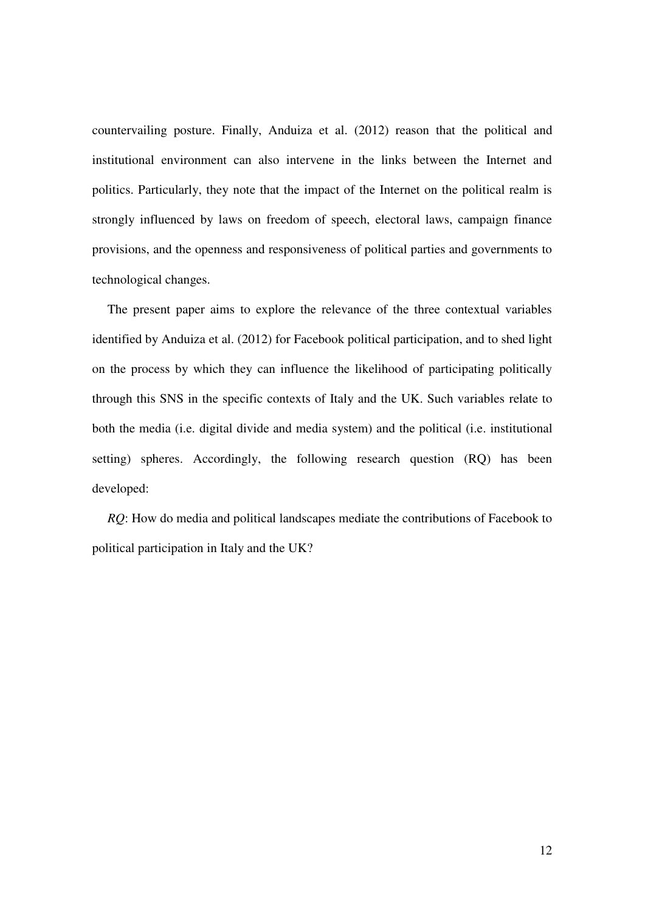countervailing posture. Finally, Anduiza et al. (2012) reason that the political and institutional environment can also intervene in the links between the Internet and politics. Particularly, they note that the impact of the Internet on the political realm is strongly influenced by laws on freedom of speech, electoral laws, campaign finance provisions, and the openness and responsiveness of political parties and governments to technological changes.

The present paper aims to explore the relevance of the three contextual variables identified by Anduiza et al. (2012) for Facebook political participation, and to shed light on the process by which they can influence the likelihood of participating politically through this SNS in the specific contexts of Italy and the UK. Such variables relate to both the media (i.e. digital divide and media system) and the political (i.e. institutional setting) spheres. Accordingly, the following research question (RQ) has been developed:

*RQ*: How do media and political landscapes mediate the contributions of Facebook to political participation in Italy and the UK?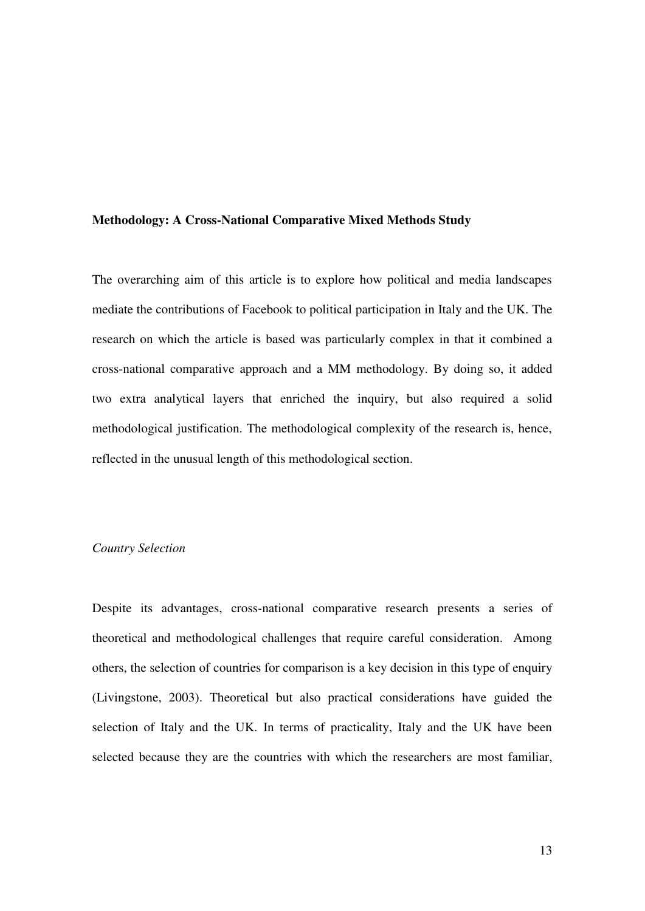#### **Methodology: A Cross-National Comparative Mixed Methods Study**

The overarching aim of this article is to explore how political and media landscapes mediate the contributions of Facebook to political participation in Italy and the UK. The research on which the article is based was particularly complex in that it combined a cross-national comparative approach and a MM methodology. By doing so, it added two extra analytical layers that enriched the inquiry, but also required a solid methodological justification. The methodological complexity of the research is, hence, reflected in the unusual length of this methodological section.

#### *Country Selection*

Despite its advantages, cross-national comparative research presents a series of theoretical and methodological challenges that require careful consideration. Among others, the selection of countries for comparison is a key decision in this type of enquiry (Livingstone, 2003). Theoretical but also practical considerations have guided the selection of Italy and the UK. In terms of practicality, Italy and the UK have been selected because they are the countries with which the researchers are most familiar,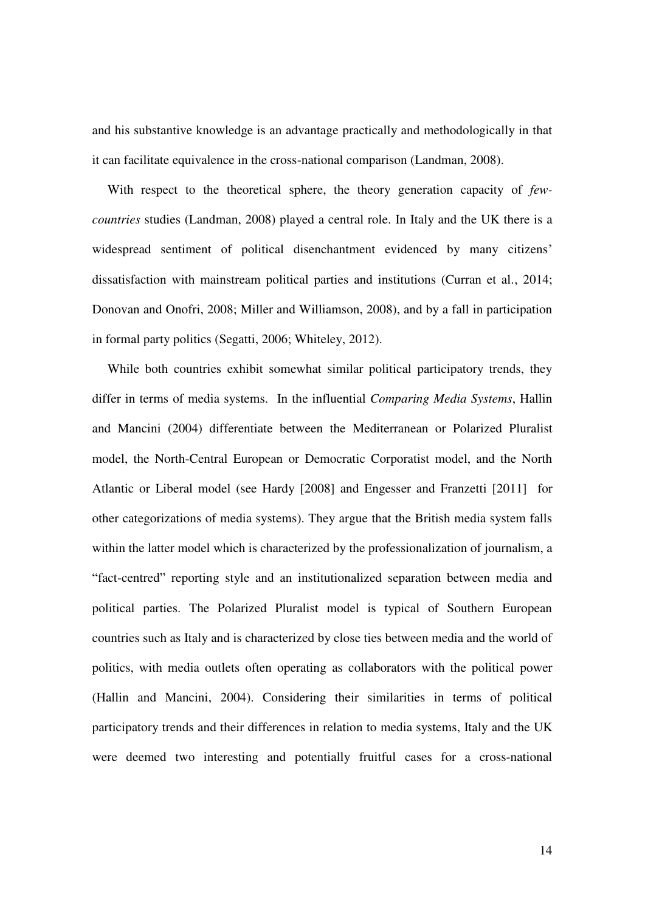and his substantive knowledge is an advantage practically and methodologically in that it can facilitate equivalence in the cross-national comparison (Landman, 2008).

With respect to the theoretical sphere, the theory generation capacity of *fewcountries* studies (Landman, 2008) played a central role. In Italy and the UK there is a widespread sentiment of political disenchantment evidenced by many citizens' dissatisfaction with mainstream political parties and institutions (Curran et al., 2014; Donovan and Onofri, 2008; Miller and Williamson, 2008), and by a fall in participation in formal party politics (Segatti, 2006; Whiteley, 2012).

While both countries exhibit somewhat similar political participatory trends, they differ in terms of media systems. In the influential *Comparing Media Systems*, Hallin and Mancini (2004) differentiate between the Mediterranean or Polarized Pluralist model, the North-Central European or Democratic Corporatist model, and the North Atlantic or Liberal model (see Hardy [2008] and Engesser and Franzetti [2011] for other categorizations of media systems). They argue that the British media system falls within the latter model which is characterized by the professionalization of journalism, a "fact-centred" reporting style and an institutionalized separation between media and political parties. The Polarized Pluralist model is typical of Southern European countries such as Italy and is characterized by close ties between media and the world of politics, with media outlets often operating as collaborators with the political power (Hallin and Mancini, 2004). Considering their similarities in terms of political participatory trends and their differences in relation to media systems, Italy and the UK were deemed two interesting and potentially fruitful cases for a cross-national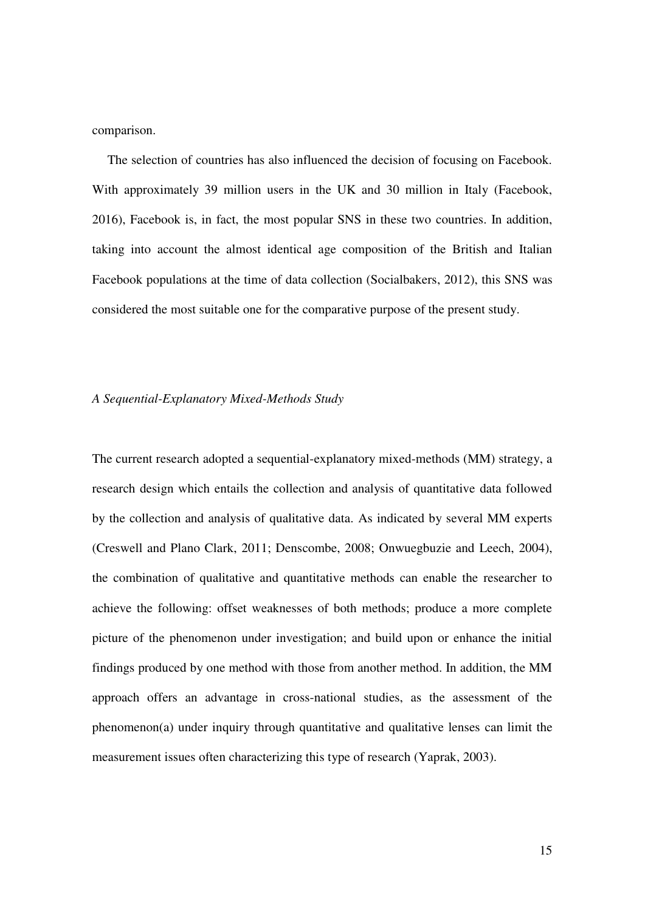comparison.

The selection of countries has also influenced the decision of focusing on Facebook. With approximately 39 million users in the UK and 30 million in Italy (Facebook, 2016), Facebook is, in fact, the most popular SNS in these two countries. In addition, taking into account the almost identical age composition of the British and Italian Facebook populations at the time of data collection (Socialbakers, 2012), this SNS was considered the most suitable one for the comparative purpose of the present study.

#### *A Sequential-Explanatory Mixed-Methods Study*

The current research adopted a sequential-explanatory mixed-methods (MM) strategy, a research design which entails the collection and analysis of quantitative data followed by the collection and analysis of qualitative data. As indicated by several MM experts (Creswell and Plano Clark, 2011; Denscombe, 2008; Onwuegbuzie and Leech, 2004), the combination of qualitative and quantitative methods can enable the researcher to achieve the following: offset weaknesses of both methods; produce a more complete picture of the phenomenon under investigation; and build upon or enhance the initial findings produced by one method with those from another method. In addition, the MM approach offers an advantage in cross-national studies, as the assessment of the phenomenon(a) under inquiry through quantitative and qualitative lenses can limit the measurement issues often characterizing this type of research (Yaprak, 2003).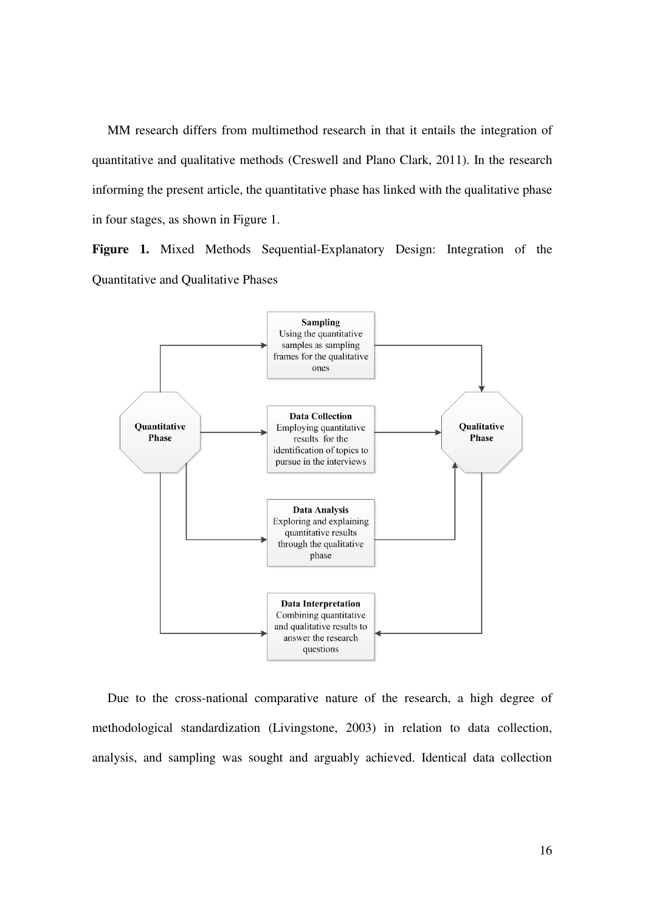MM research differs from multimethod research in that it entails the integration of quantitative and qualitative methods (Creswell and Plano Clark, 2011). In the research informing the present article, the quantitative phase has linked with the qualitative phase in four stages, as shown in Figure 1.

**Figure 1.** Mixed Methods Sequential-Explanatory Design: Integration of the Quantitative and Qualitative Phases



Due to the cross-national comparative nature of the research, a high degree of methodological standardization (Livingstone, 2003) in relation to data collection, analysis, and sampling was sought and arguably achieved. Identical data collection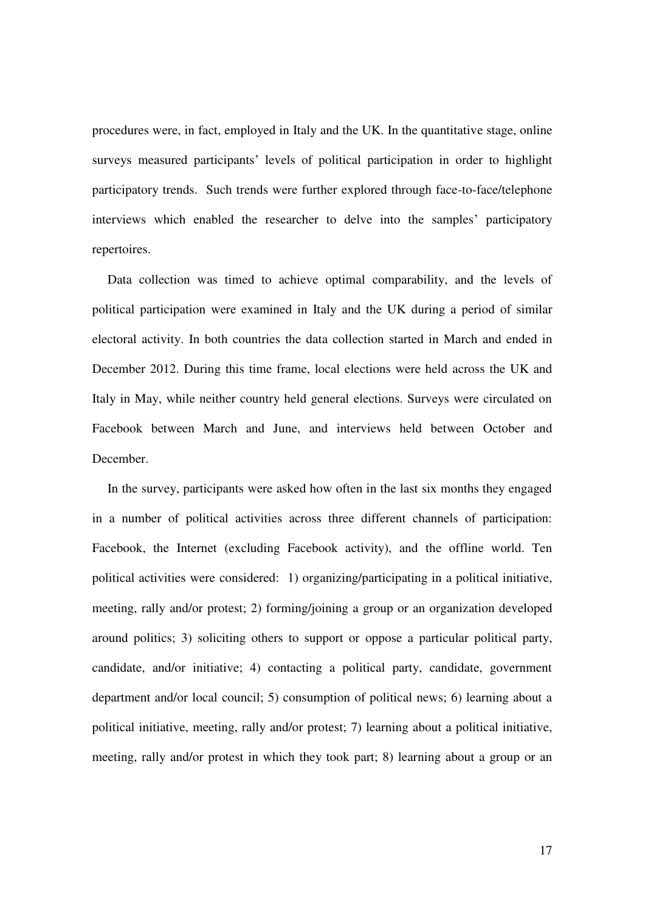procedures were, in fact, employed in Italy and the UK. In the quantitative stage, online surveys measured participants' levels of political participation in order to highlight participatory trends. Such trends were further explored through face-to-face/telephone interviews which enabled the researcher to delve into the samples' participatory repertoires.

Data collection was timed to achieve optimal comparability, and the levels of political participation were examined in Italy and the UK during a period of similar electoral activity. In both countries the data collection started in March and ended in December 2012. During this time frame, local elections were held across the UK and Italy in May, while neither country held general elections. Surveys were circulated on Facebook between March and June, and interviews held between October and December.

In the survey, participants were asked how often in the last six months they engaged in a number of political activities across three different channels of participation: Facebook, the Internet (excluding Facebook activity), and the offline world. Ten political activities were considered: 1) organizing/participating in a political initiative, meeting, rally and/or protest; 2) forming/joining a group or an organization developed around politics; 3) soliciting others to support or oppose a particular political party, candidate, and/or initiative; 4) contacting a political party, candidate, government department and/or local council; 5) consumption of political news; 6) learning about a political initiative, meeting, rally and/or protest; 7) learning about a political initiative, meeting, rally and/or protest in which they took part; 8) learning about a group or an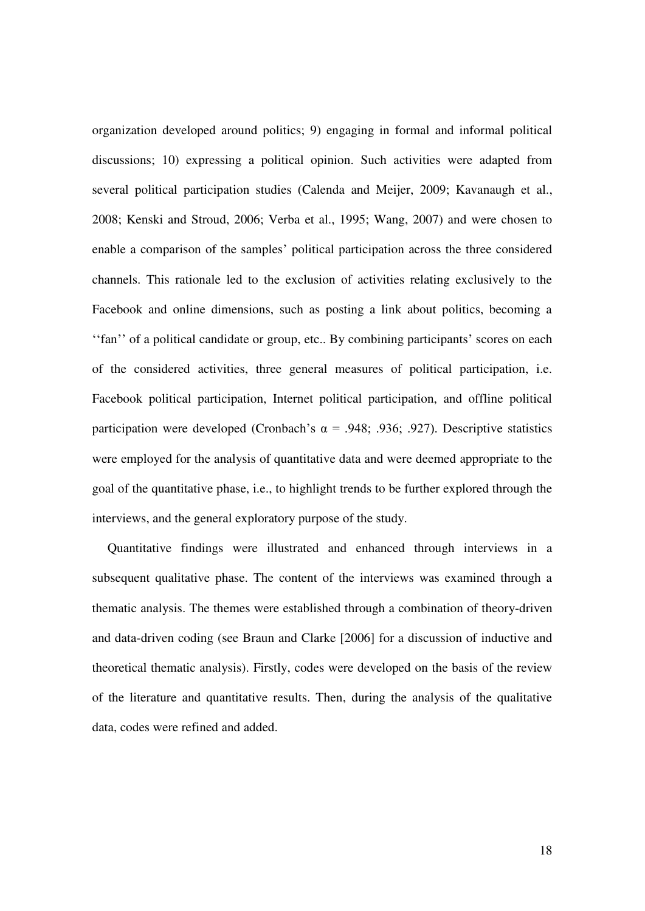organization developed around politics; 9) engaging in formal and informal political discussions; 10) expressing a political opinion. Such activities were adapted from several political participation studies (Calenda and Meijer, 2009; Kavanaugh et al., 2008; Kenski and Stroud, 2006; Verba et al., 1995; Wang, 2007) and were chosen to enable a comparison of the samples' political participation across the three considered channels. This rationale led to the exclusion of activities relating exclusively to the Facebook and online dimensions, such as posting a link about politics, becoming a ''fan'' of a political candidate or group, etc.. By combining participants' scores on each of the considered activities, three general measures of political participation, i.e. Facebook political participation, Internet political participation, and offline political participation were developed (Cronbach's α = .948; .936; .927). Descriptive statistics were employed for the analysis of quantitative data and were deemed appropriate to the goal of the quantitative phase, i.e., to highlight trends to be further explored through the interviews, and the general exploratory purpose of the study.

Quantitative findings were illustrated and enhanced through interviews in a subsequent qualitative phase. The content of the interviews was examined through a thematic analysis. The themes were established through a combination of theory-driven and data-driven coding (see Braun and Clarke [2006] for a discussion of inductive and theoretical thematic analysis). Firstly, codes were developed on the basis of the review of the literature and quantitative results. Then, during the analysis of the qualitative data, codes were refined and added.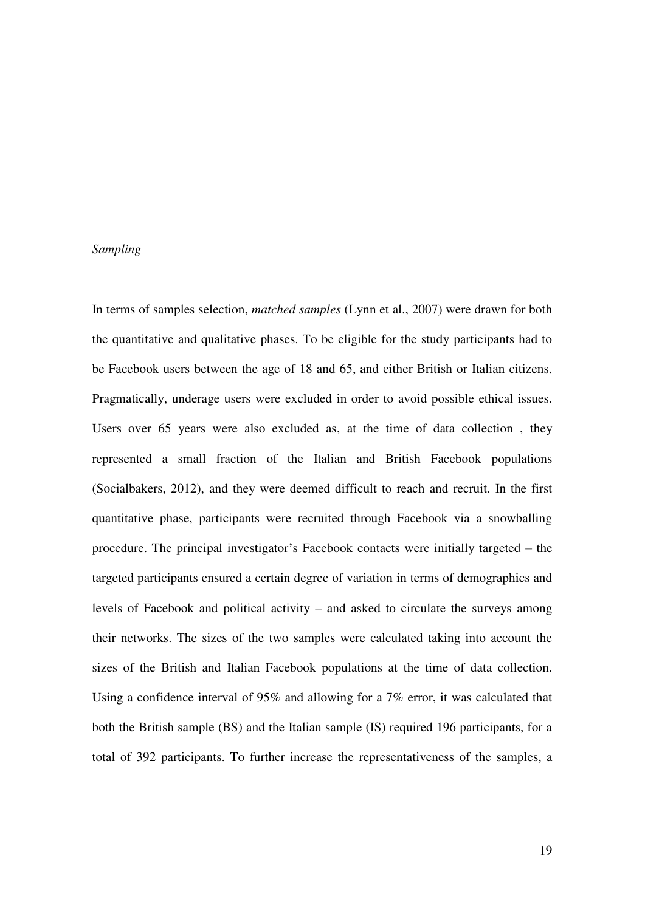#### *Sampling*

In terms of samples selection, *matched samples* (Lynn et al., 2007) were drawn for both the quantitative and qualitative phases. To be eligible for the study participants had to be Facebook users between the age of 18 and 65, and either British or Italian citizens. Pragmatically, underage users were excluded in order to avoid possible ethical issues. Users over 65 years were also excluded as, at the time of data collection , they represented a small fraction of the Italian and British Facebook populations (Socialbakers, 2012), and they were deemed difficult to reach and recruit. In the first quantitative phase, participants were recruited through Facebook via a snowballing procedure. The principal investigator's Facebook contacts were initially targeted – the targeted participants ensured a certain degree of variation in terms of demographics and levels of Facebook and political activity – and asked to circulate the surveys among their networks. The sizes of the two samples were calculated taking into account the sizes of the British and Italian Facebook populations at the time of data collection. Using a confidence interval of 95% and allowing for a 7% error, it was calculated that both the British sample (BS) and the Italian sample (IS) required 196 participants, for a total of 392 participants. To further increase the representativeness of the samples, a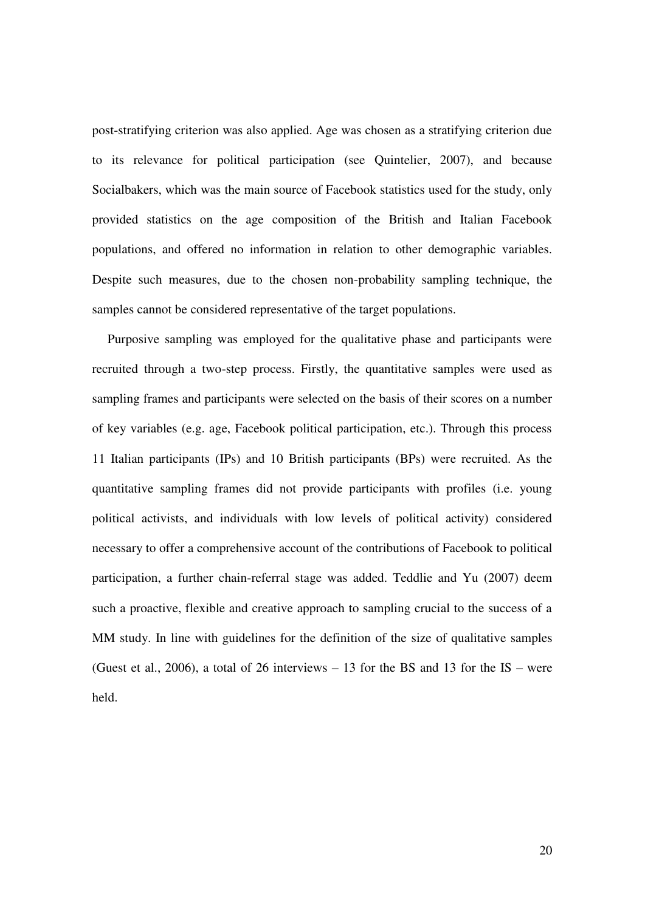post-stratifying criterion was also applied. Age was chosen as a stratifying criterion due to its relevance for political participation (see Quintelier, 2007), and because Socialbakers, which was the main source of Facebook statistics used for the study, only provided statistics on the age composition of the British and Italian Facebook populations, and offered no information in relation to other demographic variables. Despite such measures, due to the chosen non-probability sampling technique, the samples cannot be considered representative of the target populations.

Purposive sampling was employed for the qualitative phase and participants were recruited through a two-step process. Firstly, the quantitative samples were used as sampling frames and participants were selected on the basis of their scores on a number of key variables (e.g. age, Facebook political participation, etc.). Through this process 11 Italian participants (IPs) and 10 British participants (BPs) were recruited. As the quantitative sampling frames did not provide participants with profiles (i.e. young political activists, and individuals with low levels of political activity) considered necessary to offer a comprehensive account of the contributions of Facebook to political participation, a further chain-referral stage was added. Teddlie and Yu (2007) deem such a proactive, flexible and creative approach to sampling crucial to the success of a MM study. In line with guidelines for the definition of the size of qualitative samples (Guest et al., 2006), a total of 26 interviews  $-13$  for the BS and 13 for the IS – were held.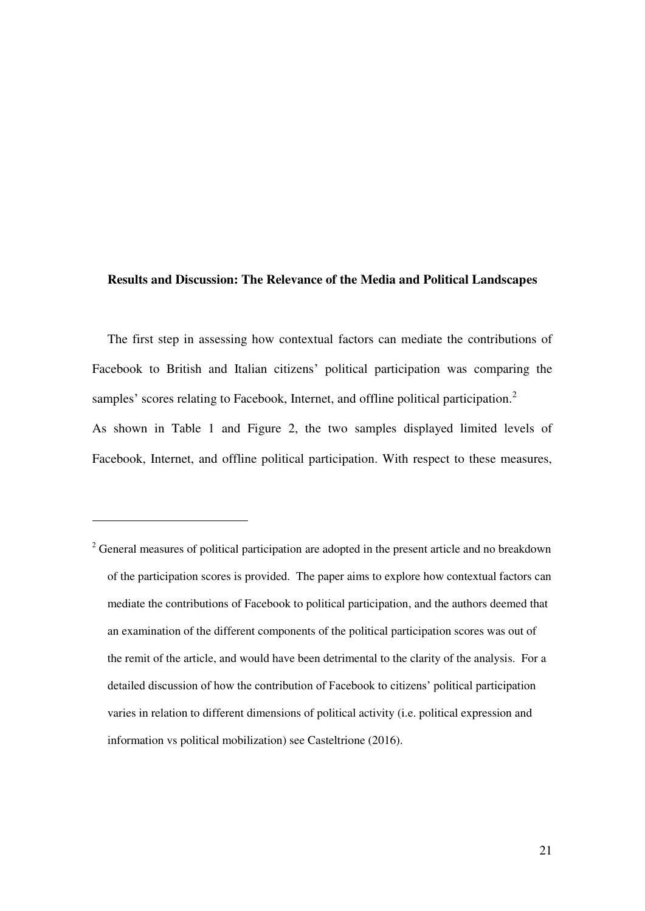#### **Results and Discussion: The Relevance of the Media and Political Landscapes**

The first step in assessing how contextual factors can mediate the contributions of Facebook to British and Italian citizens' political participation was comparing the samples' scores relating to Facebook, Internet, and offline political participation.<sup>2</sup> As shown in Table 1 and Figure 2, the two samples displayed limited levels of Facebook, Internet, and offline political participation. With respect to these measures,

-

 $2^2$  General measures of political participation are adopted in the present article and no breakdown of the participation scores is provided. The paper aims to explore how contextual factors can mediate the contributions of Facebook to political participation, and the authors deemed that an examination of the different components of the political participation scores was out of the remit of the article, and would have been detrimental to the clarity of the analysis. For a detailed discussion of how the contribution of Facebook to citizens' political participation varies in relation to different dimensions of political activity (i.e. political expression and information vs political mobilization) see Casteltrione (2016).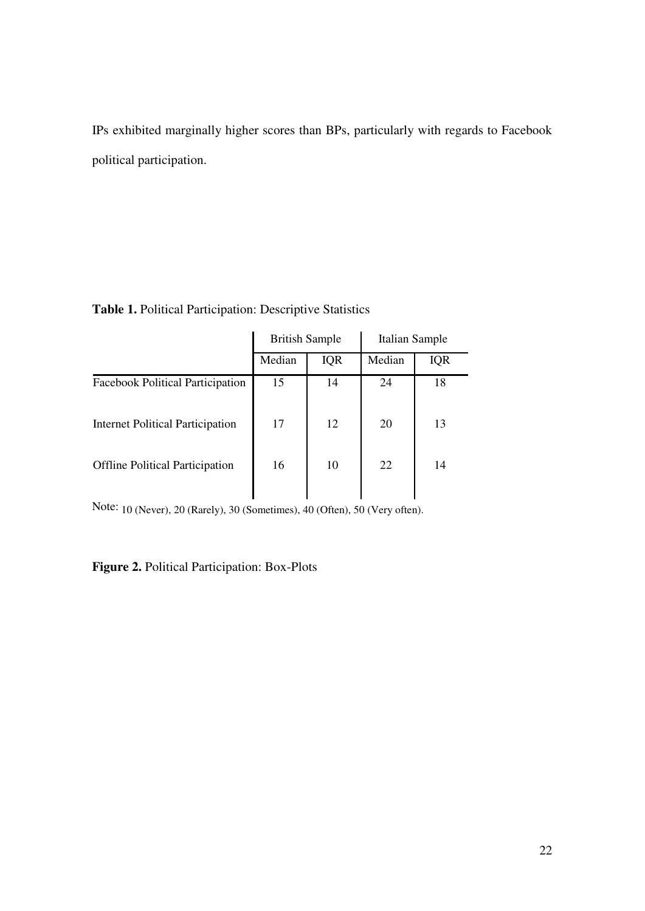IPs exhibited marginally higher scores than BPs, particularly with regards to Facebook political participation.

| <b>British Sample</b> |            | Italian Sample |            |
|-----------------------|------------|----------------|------------|
| Median                | <b>IQR</b> | Median         | <b>IQR</b> |
| 15                    | 14         | 24             | 18         |
| 17                    | 12         | 20             | 13         |
| 16                    | 10         | 22             | 14         |
|                       |            |                |            |

**Table 1.** Political Participation: Descriptive Statistics

Note: 10 (Never), 20 (Rarely), 30 (Sometimes), 40 (Often), 50 (Very often).

**Figure 2.** Political Participation: Box-Plots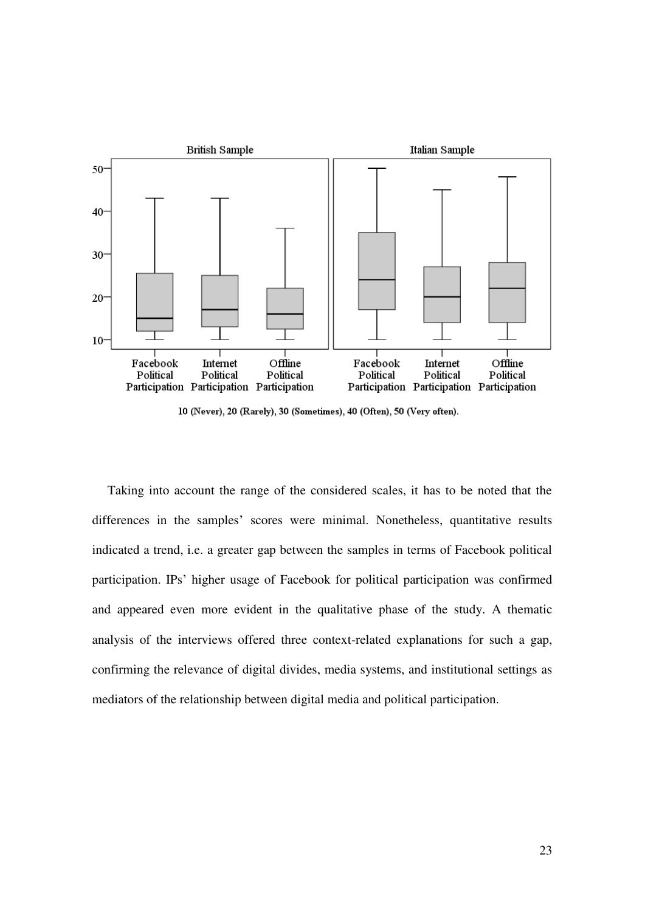

10 (Never), 20 (Rarely), 30 (Sometimes), 40 (Often), 50 (Very often).

Taking into account the range of the considered scales, it has to be noted that the differences in the samples' scores were minimal. Nonetheless, quantitative results indicated a trend, i.e. a greater gap between the samples in terms of Facebook political participation. IPs' higher usage of Facebook for political participation was confirmed and appeared even more evident in the qualitative phase of the study. A thematic analysis of the interviews offered three context-related explanations for such a gap, confirming the relevance of digital divides, media systems, and institutional settings as mediators of the relationship between digital media and political participation.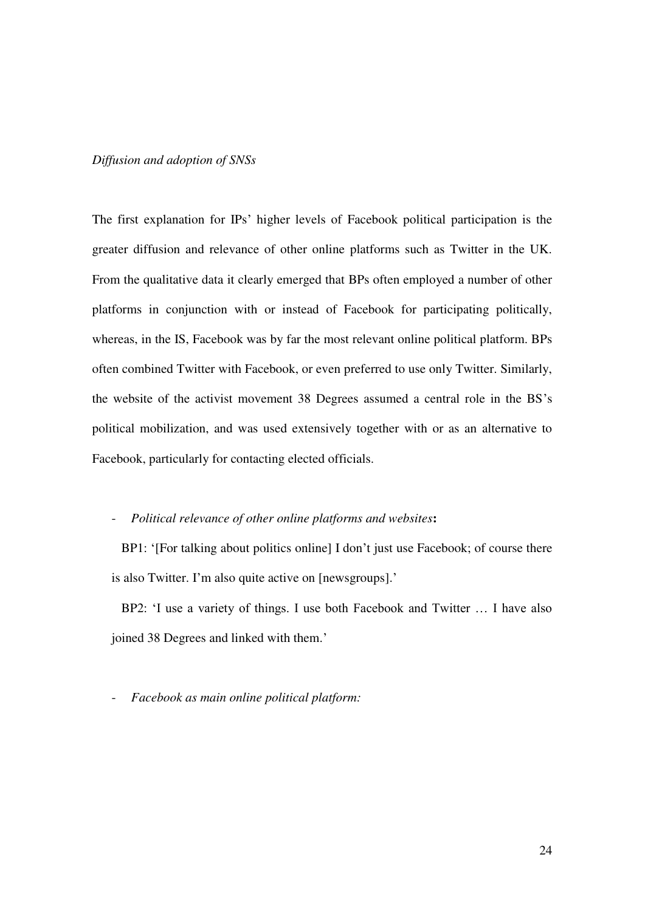#### *Diffusion and adoption of SNSs*

The first explanation for IPs' higher levels of Facebook political participation is the greater diffusion and relevance of other online platforms such as Twitter in the UK. From the qualitative data it clearly emerged that BPs often employed a number of other platforms in conjunction with or instead of Facebook for participating politically, whereas, in the IS, Facebook was by far the most relevant online political platform. BPs often combined Twitter with Facebook, or even preferred to use only Twitter. Similarly, the website of the activist movement 38 Degrees assumed a central role in the BS's political mobilization, and was used extensively together with or as an alternative to Facebook, particularly for contacting elected officials.

#### - *Political relevance of other online platforms and websites***:**

BP1: '[For talking about politics online] I don't just use Facebook; of course there is also Twitter. I'm also quite active on [newsgroups].'

 BP2: 'I use a variety of things. I use both Facebook and Twitter … I have also joined 38 Degrees and linked with them.'

- *Facebook as main online political platform:*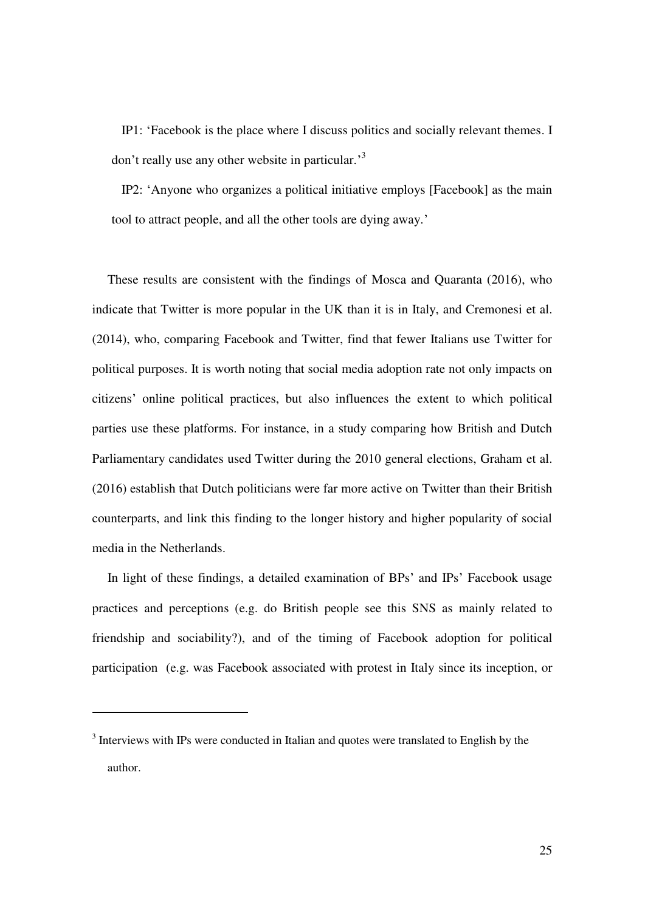IP1: 'Facebook is the place where I discuss politics and socially relevant themes. I don't really use any other website in particular.<sup>3</sup>

 IP2: 'Anyone who organizes a political initiative employs [Facebook] as the main tool to attract people, and all the other tools are dying away.'

These results are consistent with the findings of Mosca and Quaranta (2016), who indicate that Twitter is more popular in the UK than it is in Italy, and Cremonesi et al. (2014), who, comparing Facebook and Twitter, find that fewer Italians use Twitter for political purposes. It is worth noting that social media adoption rate not only impacts on citizens' online political practices, but also influences the extent to which political parties use these platforms. For instance, in a study comparing how British and Dutch Parliamentary candidates used Twitter during the 2010 general elections, Graham et al. (2016) establish that Dutch politicians were far more active on Twitter than their British counterparts, and link this finding to the longer history and higher popularity of social media in the Netherlands.

In light of these findings, a detailed examination of BPs' and IPs' Facebook usage practices and perceptions (e.g. do British people see this SNS as mainly related to friendship and sociability?), and of the timing of Facebook adoption for political participation (e.g. was Facebook associated with protest in Italy since its inception, or

-

<sup>&</sup>lt;sup>3</sup> Interviews with IPs were conducted in Italian and quotes were translated to English by the author.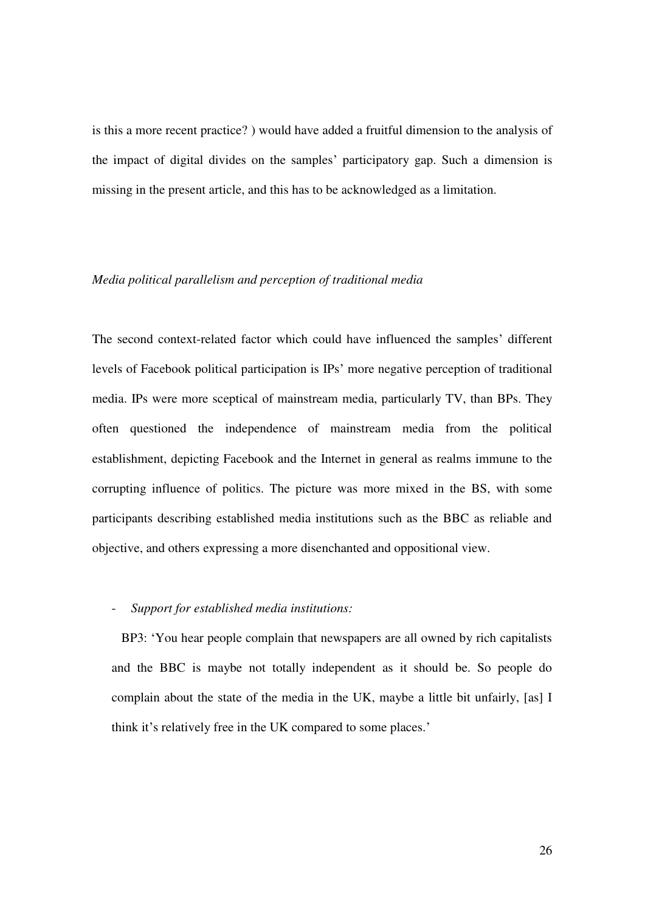is this a more recent practice? ) would have added a fruitful dimension to the analysis of the impact of digital divides on the samples' participatory gap. Such a dimension is missing in the present article, and this has to be acknowledged as a limitation.

#### *Media political parallelism and perception of traditional media*

The second context-related factor which could have influenced the samples' different levels of Facebook political participation is IPs' more negative perception of traditional media. IPs were more sceptical of mainstream media, particularly TV, than BPs. They often questioned the independence of mainstream media from the political establishment, depicting Facebook and the Internet in general as realms immune to the corrupting influence of politics. The picture was more mixed in the BS, with some participants describing established media institutions such as the BBC as reliable and objective, and others expressing a more disenchanted and oppositional view.

#### - *Support for established media institutions:*

 BP3: 'You hear people complain that newspapers are all owned by rich capitalists and the BBC is maybe not totally independent as it should be. So people do complain about the state of the media in the UK, maybe a little bit unfairly, [as] I think it's relatively free in the UK compared to some places.'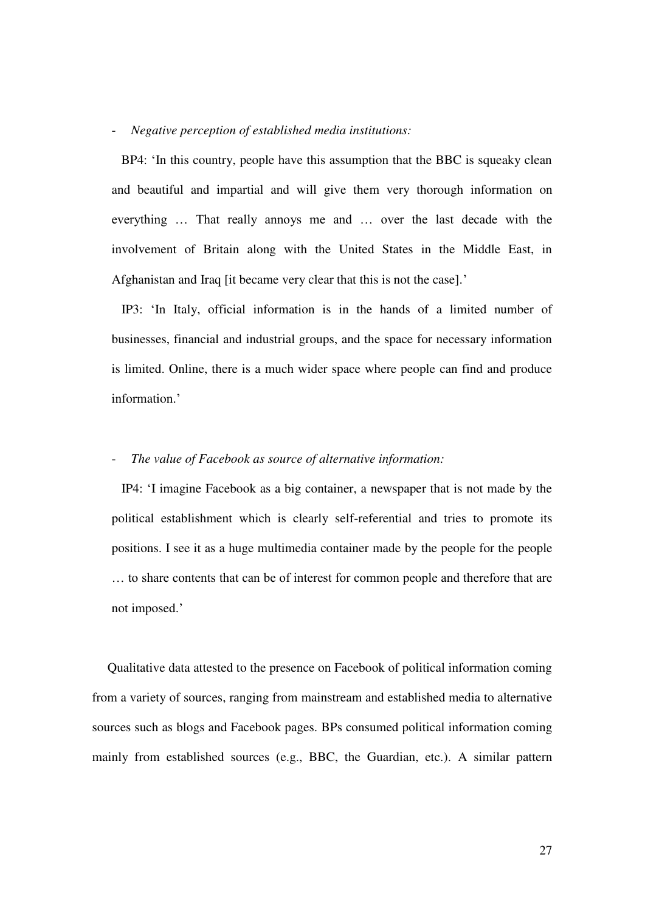#### - *Negative perception of established media institutions:*

 BP4: 'In this country, people have this assumption that the BBC is squeaky clean and beautiful and impartial and will give them very thorough information on everything … That really annoys me and … over the last decade with the involvement of Britain along with the United States in the Middle East, in Afghanistan and Iraq [it became very clear that this is not the case].'

 IP3: 'In Italy, official information is in the hands of a limited number of businesses, financial and industrial groups, and the space for necessary information is limited. Online, there is a much wider space where people can find and produce information.'

#### - *The value of Facebook as source of alternative information:*

 IP4: 'I imagine Facebook as a big container, a newspaper that is not made by the political establishment which is clearly self-referential and tries to promote its positions. I see it as a huge multimedia container made by the people for the people … to share contents that can be of interest for common people and therefore that are not imposed.'

Qualitative data attested to the presence on Facebook of political information coming from a variety of sources, ranging from mainstream and established media to alternative sources such as blogs and Facebook pages. BPs consumed political information coming mainly from established sources (e.g., BBC, the Guardian, etc.). A similar pattern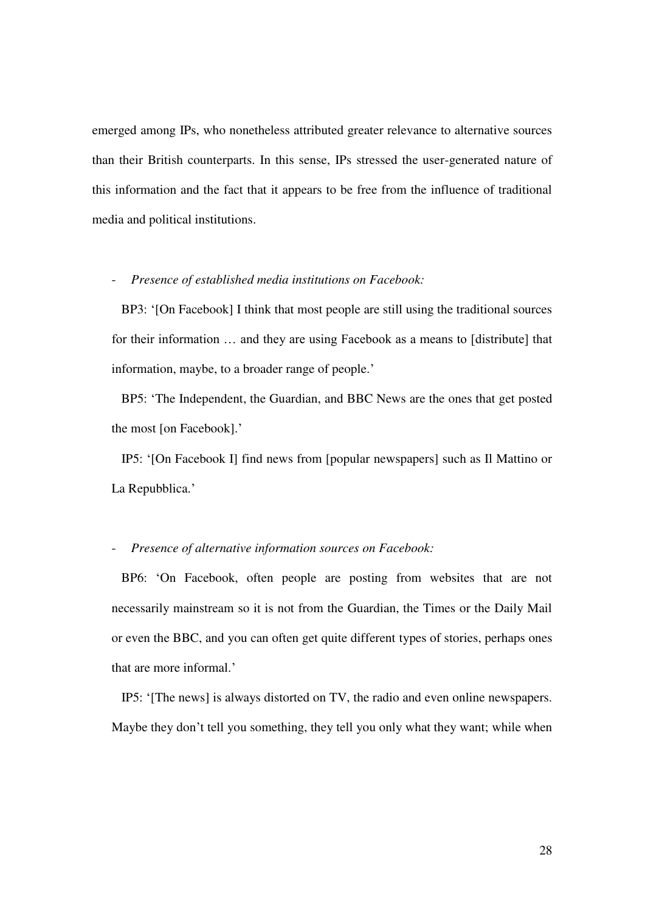emerged among IPs, who nonetheless attributed greater relevance to alternative sources than their British counterparts. In this sense, IPs stressed the user-generated nature of this information and the fact that it appears to be free from the influence of traditional media and political institutions.

#### - *Presence of established media institutions on Facebook:*

 BP3: '[On Facebook] I think that most people are still using the traditional sources for their information … and they are using Facebook as a means to [distribute] that information, maybe, to a broader range of people.'

 BP5: 'The Independent, the Guardian, and BBC News are the ones that get posted the most [on Facebook].'

 IP5: '[On Facebook I] find news from [popular newspapers] such as Il Mattino or La Repubblica.'

#### - *Presence of alternative information sources on Facebook:*

 BP6: 'On Facebook, often people are posting from websites that are not necessarily mainstream so it is not from the Guardian, the Times or the Daily Mail or even the BBC, and you can often get quite different types of stories, perhaps ones that are more informal.'

 IP5: '[The news] is always distorted on TV, the radio and even online newspapers. Maybe they don't tell you something, they tell you only what they want; while when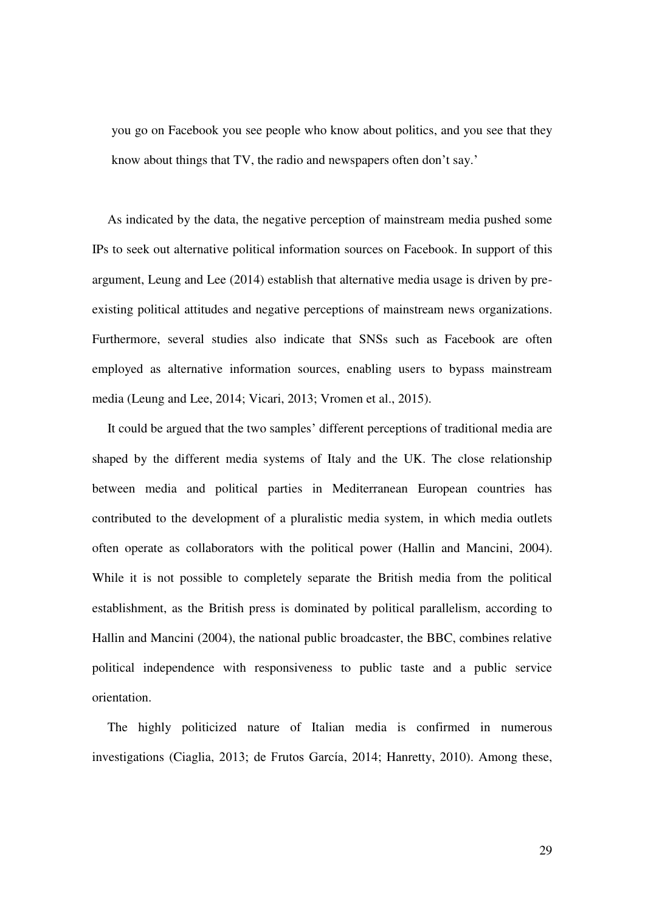you go on Facebook you see people who know about politics, and you see that they know about things that TV, the radio and newspapers often don't say.'

As indicated by the data, the negative perception of mainstream media pushed some IPs to seek out alternative political information sources on Facebook. In support of this argument, Leung and Lee (2014) establish that alternative media usage is driven by preexisting political attitudes and negative perceptions of mainstream news organizations. Furthermore, several studies also indicate that SNSs such as Facebook are often employed as alternative information sources, enabling users to bypass mainstream media (Leung and Lee, 2014; Vicari, 2013; Vromen et al., 2015).

It could be argued that the two samples' different perceptions of traditional media are shaped by the different media systems of Italy and the UK. The close relationship between media and political parties in Mediterranean European countries has contributed to the development of a pluralistic media system, in which media outlets often operate as collaborators with the political power (Hallin and Mancini, 2004). While it is not possible to completely separate the British media from the political establishment, as the British press is dominated by political parallelism, according to Hallin and Mancini (2004), the national public broadcaster, the BBC, combines relative political independence with responsiveness to public taste and a public service orientation.

The highly politicized nature of Italian media is confirmed in numerous investigations (Ciaglia, 2013; de Frutos García, 2014; Hanretty, 2010). Among these,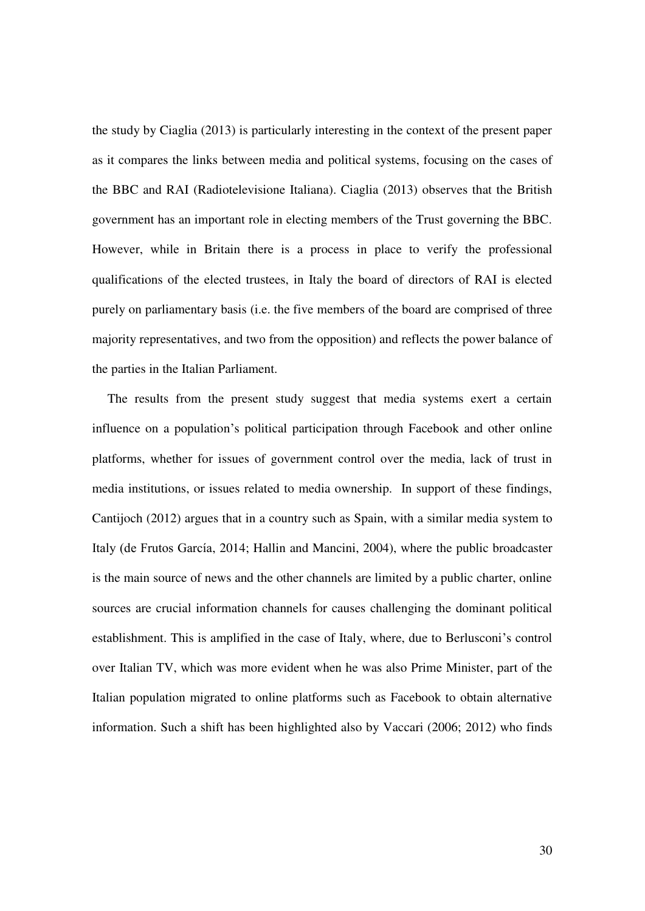the study by Ciaglia (2013) is particularly interesting in the context of the present paper as it compares the links between media and political systems, focusing on the cases of the BBC and RAI (Radiotelevisione Italiana). Ciaglia (2013) observes that the British government has an important role in electing members of the Trust governing the BBC. However, while in Britain there is a process in place to verify the professional qualifications of the elected trustees, in Italy the board of directors of RAI is elected purely on parliamentary basis (i.e. the five members of the board are comprised of three majority representatives, and two from the opposition) and reflects the power balance of the parties in the Italian Parliament.

The results from the present study suggest that media systems exert a certain influence on a population's political participation through Facebook and other online platforms, whether for issues of government control over the media, lack of trust in media institutions, or issues related to media ownership. In support of these findings, Cantijoch (2012) argues that in a country such as Spain, with a similar media system to Italy (de Frutos García, 2014; Hallin and Mancini, 2004), where the public broadcaster is the main source of news and the other channels are limited by a public charter, online sources are crucial information channels for causes challenging the dominant political establishment. This is amplified in the case of Italy, where, due to Berlusconi's control over Italian TV, which was more evident when he was also Prime Minister, part of the Italian population migrated to online platforms such as Facebook to obtain alternative information. Such a shift has been highlighted also by Vaccari (2006; 2012) who finds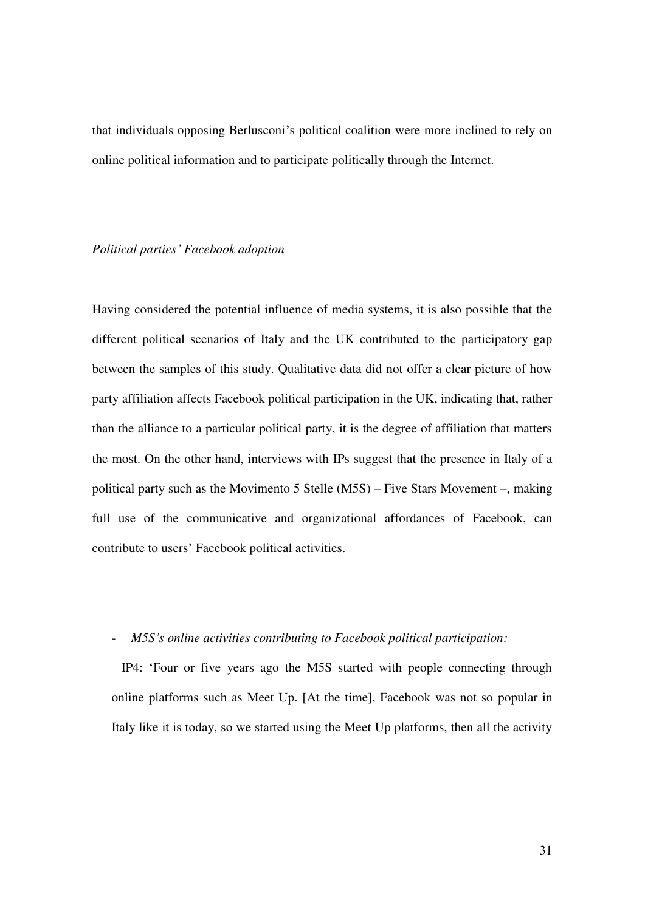that individuals opposing Berlusconi's political coalition were more inclined to rely on online political information and to participate politically through the Internet.

#### *Political parties' Facebook adoption*

Having considered the potential influence of media systems, it is also possible that the different political scenarios of Italy and the UK contributed to the participatory gap between the samples of this study. Qualitative data did not offer a clear picture of how party affiliation affects Facebook political participation in the UK, indicating that, rather than the alliance to a particular political party, it is the degree of affiliation that matters the most. On the other hand, interviews with IPs suggest that the presence in Italy of a political party such as the Movimento 5 Stelle (M5S) – Five Stars Movement –, making full use of the communicative and organizational affordances of Facebook, can contribute to users' Facebook political activities.

#### - *M5S's online activities contributing to Facebook political participation:*

 IP4: 'Four or five years ago the M5S started with people connecting through online platforms such as Meet Up. [At the time], Facebook was not so popular in Italy like it is today, so we started using the Meet Up platforms, then all the activity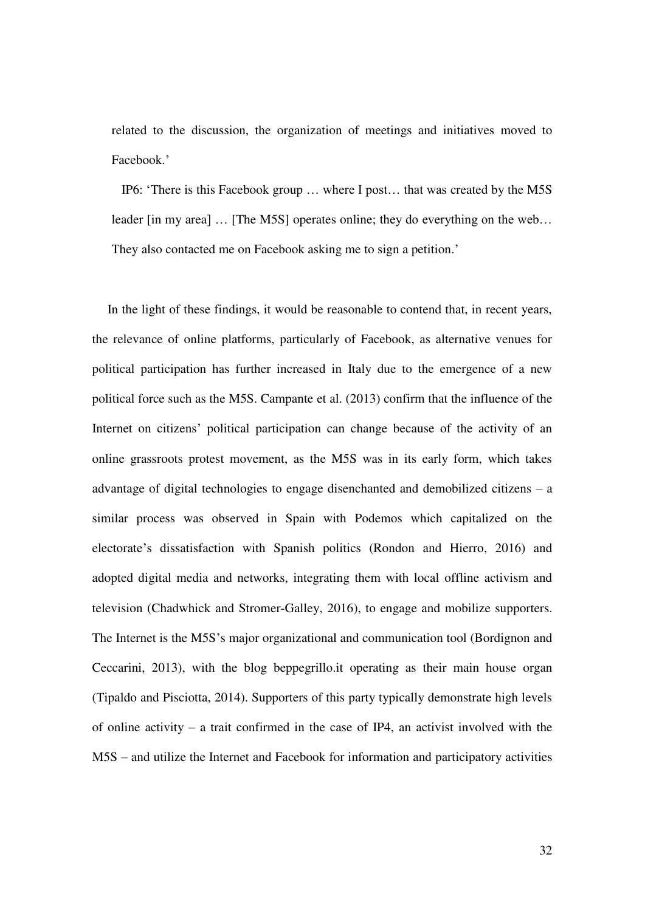related to the discussion, the organization of meetings and initiatives moved to Facebook.'

 IP6: 'There is this Facebook group … where I post… that was created by the M5S leader [in my area] … [The M5S] operates online; they do everything on the web… They also contacted me on Facebook asking me to sign a petition.'

In the light of these findings, it would be reasonable to contend that, in recent years, the relevance of online platforms, particularly of Facebook, as alternative venues for political participation has further increased in Italy due to the emergence of a new political force such as the M5S. Campante et al. (2013) confirm that the influence of the Internet on citizens' political participation can change because of the activity of an online grassroots protest movement, as the M5S was in its early form, which takes advantage of digital technologies to engage disenchanted and demobilized citizens – a similar process was observed in Spain with Podemos which capitalized on the electorate's dissatisfaction with Spanish politics (Rondon and Hierro, 2016) and adopted digital media and networks, integrating them with local offline activism and television (Chadwhick and Stromer-Galley, 2016), to engage and mobilize supporters. The Internet is the M5S's major organizational and communication tool (Bordignon and Ceccarini, 2013), with the blog beppegrillo.it operating as their main house organ (Tipaldo and Pisciotta, 2014). Supporters of this party typically demonstrate high levels of online activity – a trait confirmed in the case of IP4, an activist involved with the M5S – and utilize the Internet and Facebook for information and participatory activities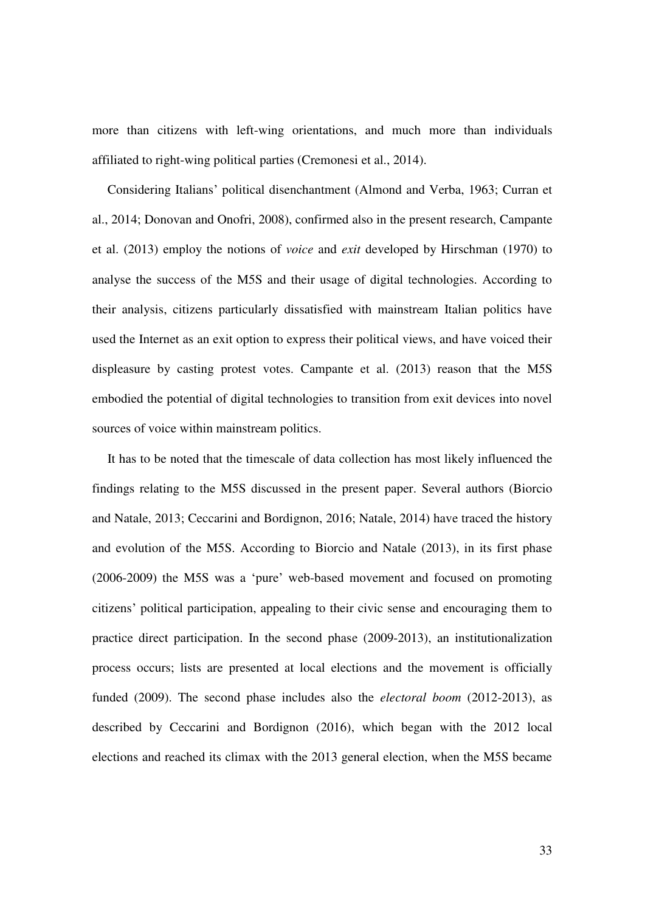more than citizens with left-wing orientations, and much more than individuals affiliated to right-wing political parties (Cremonesi et al., 2014).

Considering Italians' political disenchantment (Almond and Verba, 1963; Curran et al., 2014; Donovan and Onofri, 2008), confirmed also in the present research, Campante et al. (2013) employ the notions of *voice* and *exit* developed by Hirschman (1970) to analyse the success of the M5S and their usage of digital technologies. According to their analysis, citizens particularly dissatisfied with mainstream Italian politics have used the Internet as an exit option to express their political views, and have voiced their displeasure by casting protest votes. Campante et al. (2013) reason that the M5S embodied the potential of digital technologies to transition from exit devices into novel sources of voice within mainstream politics.

It has to be noted that the timescale of data collection has most likely influenced the findings relating to the M5S discussed in the present paper. Several authors (Biorcio and Natale, 2013; Ceccarini and Bordignon, 2016; Natale, 2014) have traced the history and evolution of the M5S. According to Biorcio and Natale (2013), in its first phase (2006-2009) the M5S was a 'pure' web-based movement and focused on promoting citizens' political participation, appealing to their civic sense and encouraging them to practice direct participation. In the second phase (2009-2013), an institutionalization process occurs; lists are presented at local elections and the movement is officially funded (2009). The second phase includes also the *electoral boom* (2012-2013), as described by Ceccarini and Bordignon (2016), which began with the 2012 local elections and reached its climax with the 2013 general election, when the M5S became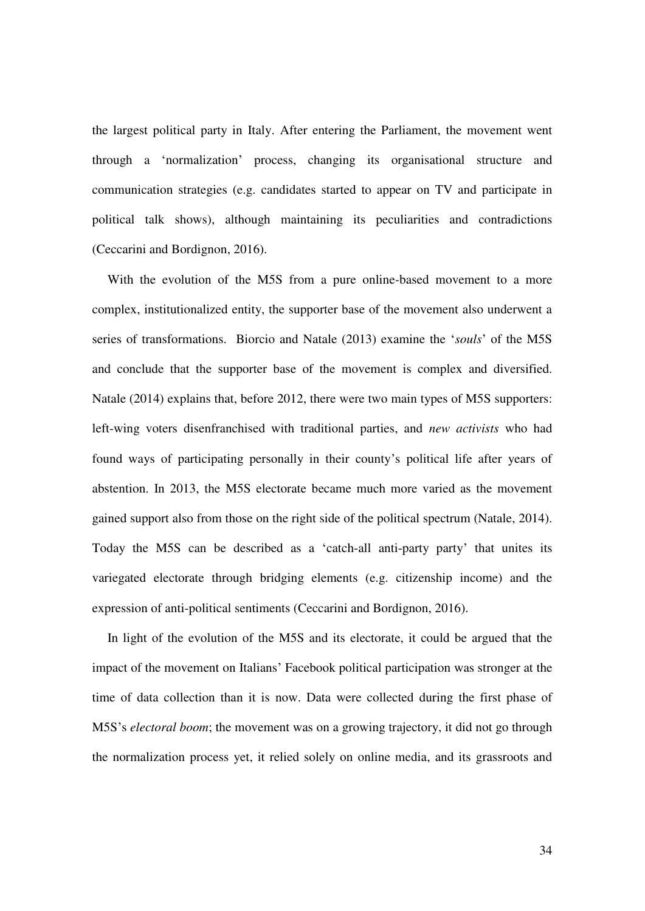the largest political party in Italy. After entering the Parliament, the movement went through a 'normalization' process, changing its organisational structure and communication strategies (e.g. candidates started to appear on TV and participate in political talk shows), although maintaining its peculiarities and contradictions (Ceccarini and Bordignon, 2016).

With the evolution of the M5S from a pure online-based movement to a more complex, institutionalized entity, the supporter base of the movement also underwent a series of transformations. Biorcio and Natale (2013) examine the '*souls*' of the M5S and conclude that the supporter base of the movement is complex and diversified. Natale (2014) explains that, before 2012, there were two main types of M5S supporters: left-wing voters disenfranchised with traditional parties, and *new activists* who had found ways of participating personally in their county's political life after years of abstention. In 2013, the M5S electorate became much more varied as the movement gained support also from those on the right side of the political spectrum (Natale, 2014). Today the M5S can be described as a 'catch-all anti-party party' that unites its variegated electorate through bridging elements (e.g. citizenship income) and the expression of anti-political sentiments (Ceccarini and Bordignon, 2016).

In light of the evolution of the M5S and its electorate, it could be argued that the impact of the movement on Italians' Facebook political participation was stronger at the time of data collection than it is now. Data were collected during the first phase of M5S's *electoral boom*; the movement was on a growing trajectory, it did not go through the normalization process yet, it relied solely on online media, and its grassroots and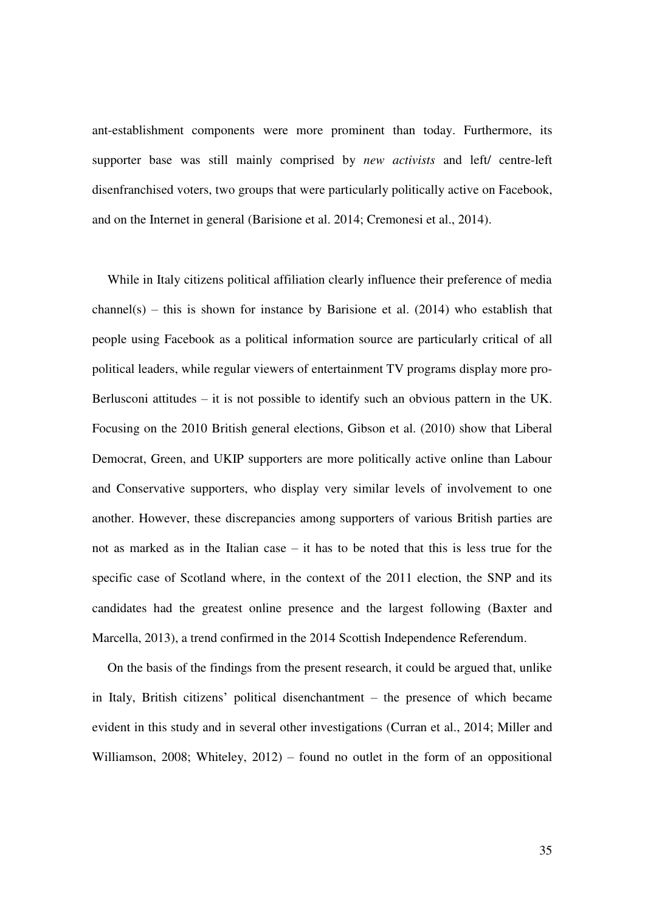ant-establishment components were more prominent than today. Furthermore, its supporter base was still mainly comprised by *new activists* and left/ centre-left disenfranchised voters, two groups that were particularly politically active on Facebook, and on the Internet in general (Barisione et al. 2014; Cremonesi et al., 2014).

While in Italy citizens political affiliation clearly influence their preference of media channel(s) – this is shown for instance by Barisione et al.  $(2014)$  who establish that people using Facebook as a political information source are particularly critical of all political leaders, while regular viewers of entertainment TV programs display more pro-Berlusconi attitudes – it is not possible to identify such an obvious pattern in the UK. Focusing on the 2010 British general elections, Gibson et al. (2010) show that Liberal Democrat, Green, and UKIP supporters are more politically active online than Labour and Conservative supporters, who display very similar levels of involvement to one another. However, these discrepancies among supporters of various British parties are not as marked as in the Italian case – it has to be noted that this is less true for the specific case of Scotland where, in the context of the 2011 election, the SNP and its candidates had the greatest online presence and the largest following (Baxter and Marcella, 2013), a trend confirmed in the 2014 Scottish Independence Referendum.

On the basis of the findings from the present research, it could be argued that, unlike in Italy, British citizens' political disenchantment – the presence of which became evident in this study and in several other investigations (Curran et al., 2014; Miller and Williamson, 2008; Whiteley, 2012) – found no outlet in the form of an oppositional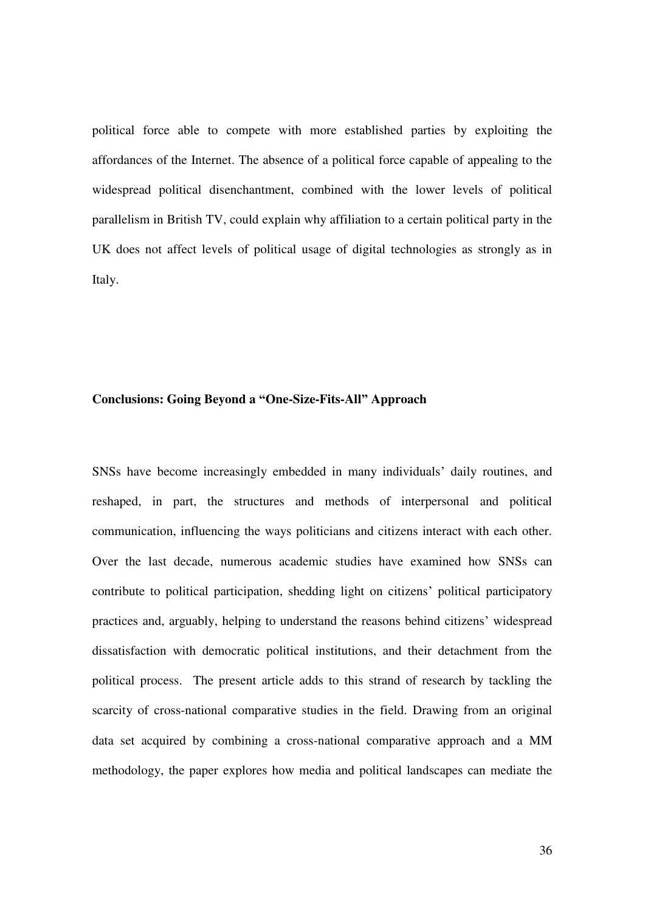political force able to compete with more established parties by exploiting the affordances of the Internet. The absence of a political force capable of appealing to the widespread political disenchantment, combined with the lower levels of political parallelism in British TV, could explain why affiliation to a certain political party in the UK does not affect levels of political usage of digital technologies as strongly as in Italy.

#### **Conclusions: Going Beyond a "One-Size-Fits-All" Approach**

SNSs have become increasingly embedded in many individuals' daily routines, and reshaped, in part, the structures and methods of interpersonal and political communication, influencing the ways politicians and citizens interact with each other. Over the last decade, numerous academic studies have examined how SNSs can contribute to political participation, shedding light on citizens' political participatory practices and, arguably, helping to understand the reasons behind citizens' widespread dissatisfaction with democratic political institutions, and their detachment from the political process. The present article adds to this strand of research by tackling the scarcity of cross-national comparative studies in the field. Drawing from an original data set acquired by combining a cross-national comparative approach and a MM methodology, the paper explores how media and political landscapes can mediate the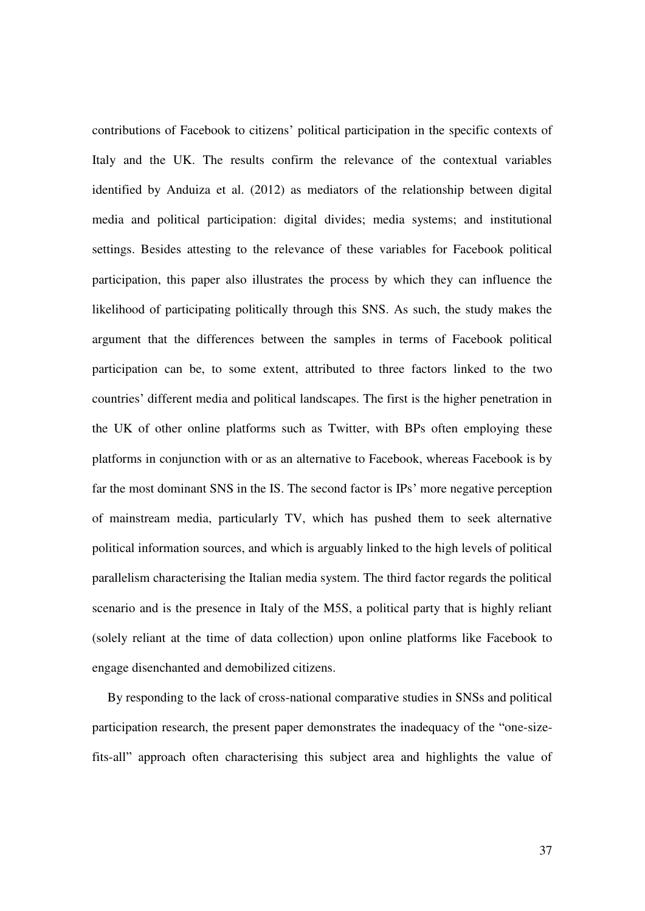contributions of Facebook to citizens' political participation in the specific contexts of Italy and the UK. The results confirm the relevance of the contextual variables identified by Anduiza et al. (2012) as mediators of the relationship between digital media and political participation: digital divides; media systems; and institutional settings. Besides attesting to the relevance of these variables for Facebook political participation, this paper also illustrates the process by which they can influence the likelihood of participating politically through this SNS. As such, the study makes the argument that the differences between the samples in terms of Facebook political participation can be, to some extent, attributed to three factors linked to the two countries' different media and political landscapes. The first is the higher penetration in the UK of other online platforms such as Twitter, with BPs often employing these platforms in conjunction with or as an alternative to Facebook, whereas Facebook is by far the most dominant SNS in the IS. The second factor is IPs' more negative perception of mainstream media, particularly TV, which has pushed them to seek alternative political information sources, and which is arguably linked to the high levels of political parallelism characterising the Italian media system. The third factor regards the political scenario and is the presence in Italy of the M5S, a political party that is highly reliant (solely reliant at the time of data collection) upon online platforms like Facebook to engage disenchanted and demobilized citizens.

By responding to the lack of cross-national comparative studies in SNSs and political participation research, the present paper demonstrates the inadequacy of the "one-sizefits-all" approach often characterising this subject area and highlights the value of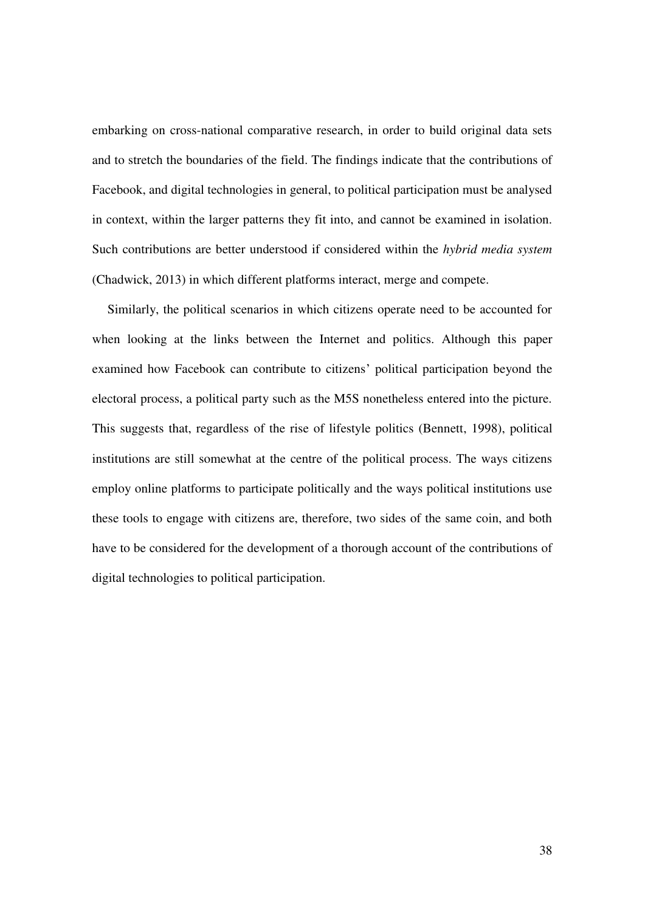embarking on cross-national comparative research, in order to build original data sets and to stretch the boundaries of the field. The findings indicate that the contributions of Facebook, and digital technologies in general, to political participation must be analysed in context, within the larger patterns they fit into, and cannot be examined in isolation. Such contributions are better understood if considered within the *hybrid media system* (Chadwick, 2013) in which different platforms interact, merge and compete.

Similarly, the political scenarios in which citizens operate need to be accounted for when looking at the links between the Internet and politics. Although this paper examined how Facebook can contribute to citizens' political participation beyond the electoral process, a political party such as the M5S nonetheless entered into the picture. This suggests that, regardless of the rise of lifestyle politics (Bennett, 1998), political institutions are still somewhat at the centre of the political process. The ways citizens employ online platforms to participate politically and the ways political institutions use these tools to engage with citizens are, therefore, two sides of the same coin, and both have to be considered for the development of a thorough account of the contributions of digital technologies to political participation.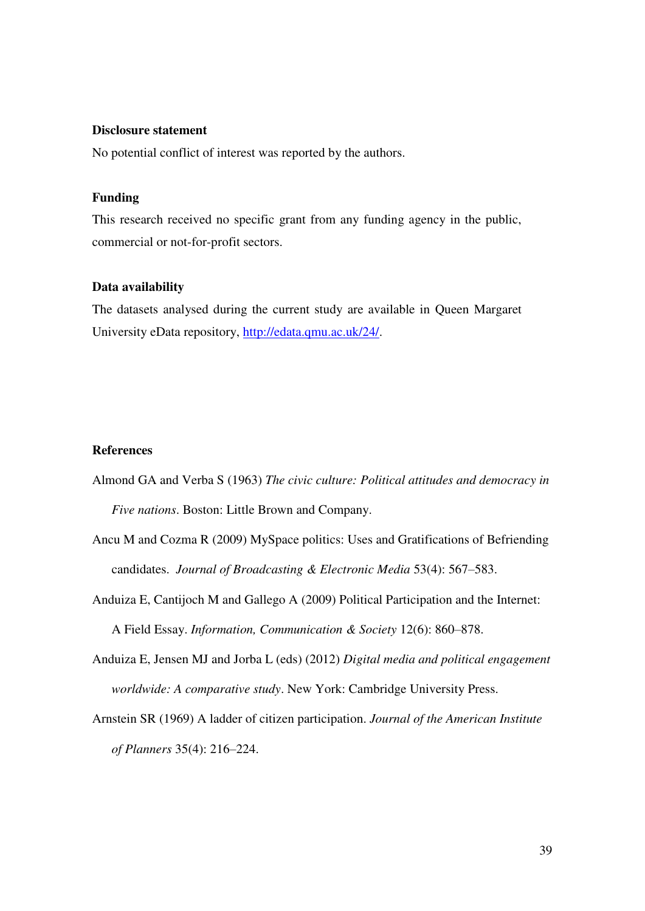#### **Disclosure statement**

No potential conflict of interest was reported by the authors.

#### **Funding**

This research received no specific grant from any funding agency in the public, commercial or not-for-profit sectors.

#### **Data availability**

The datasets analysed during the current study are available in Queen Margaret University eData repository, [http://edata.qmu.ac.uk/24/.](http://edata.qmu.ac.uk/24/)

#### **References**

- Almond GA and Verba S (1963) *The civic culture: Political attitudes and democracy in Five nations*. Boston: Little Brown and Company.
- Ancu M and Cozma R (2009) MySpace politics: Uses and Gratifications of Befriending candidates. *Journal of Broadcasting & Electronic Media* 53(4): 567–583.
- Anduiza E, Cantijoch M and Gallego A (2009) Political Participation and the Internet: A Field Essay. *Information, Communication & Society* 12(6): 860–878.
- Anduiza E, Jensen MJ and Jorba L (eds) (2012) *Digital media and political engagement worldwide: A comparative study*. New York: Cambridge University Press.
- Arnstein SR (1969) A ladder of citizen participation. *Journal of the American Institute of Planners* 35(4): 216–224.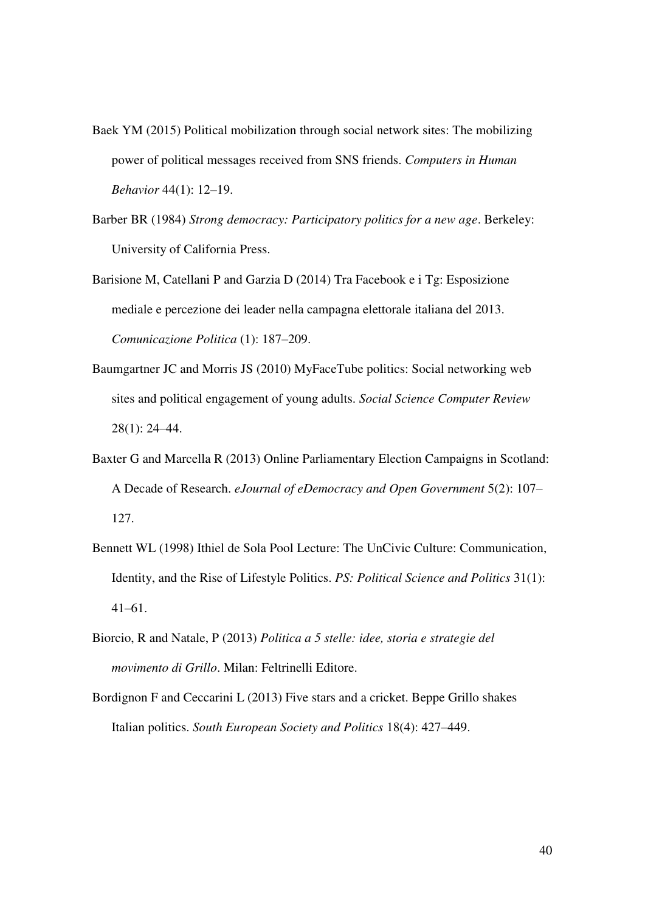- Baek YM (2015) Political mobilization through social network sites: The mobilizing power of political messages received from SNS friends. *Computers in Human Behavior* 44(1): 12–19.
- Barber BR (1984) *Strong democracy: Participatory politics for a new age*. Berkeley: University of California Press.
- Barisione M, Catellani P and Garzia D (2014) Tra Facebook e i Tg: Esposizione mediale e percezione dei leader nella campagna elettorale italiana del 2013. *Comunicazione Politica* (1): 187–209.
- Baumgartner JC and Morris JS (2010) MyFaceTube politics: Social networking web sites and political engagement of young adults. *Social Science Computer Review* 28(1): 24–44.
- Baxter G and Marcella R (2013) Online Parliamentary Election Campaigns in Scotland: A Decade of Research. *eJournal of eDemocracy and Open Government* 5(2): 107– 127.
- Bennett WL (1998) Ithiel de Sola Pool Lecture: The UnCivic Culture: Communication, Identity, and the Rise of Lifestyle Politics. *PS: Political Science and Politics* 31(1): 41–61.
- Biorcio, R and Natale, P (2013) *Politica a 5 stelle: idee, storia e strategie del movimento di Grillo*. Milan: Feltrinelli Editore.
- Bordignon F and Ceccarini L (2013) Five stars and a cricket. Beppe Grillo shakes Italian politics. *South European Society and Politics* 18(4): 427–449.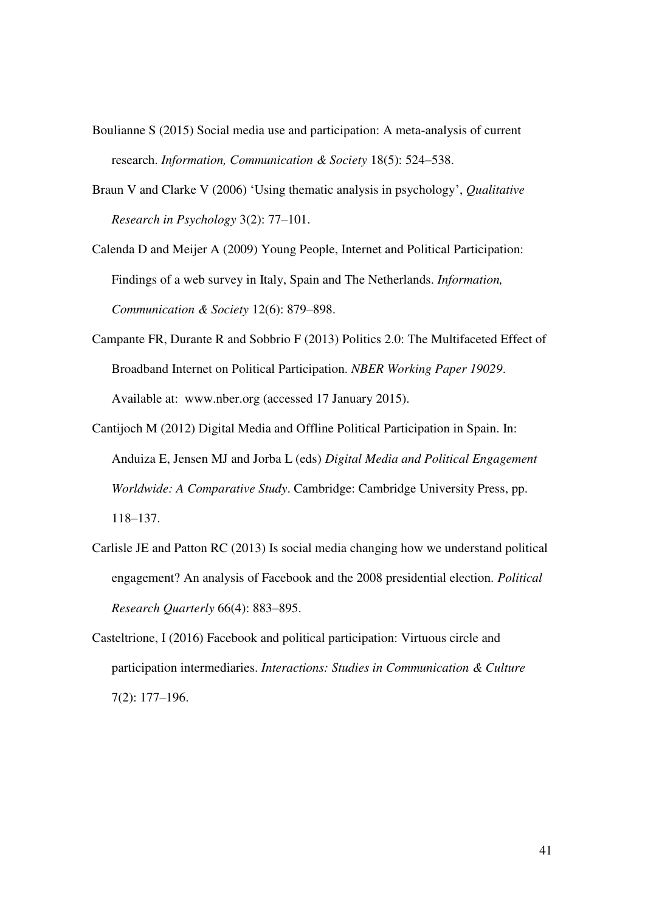- Boulianne S (2015) Social media use and participation: A meta-analysis of current research. *Information, Communication & Society* 18(5): 524–538.
- Braun V and Clarke V (2006) 'Using thematic analysis in psychology', *Qualitative Research in Psychology* 3(2): 77–101.

Calenda D and Meijer A (2009) Young People, Internet and Political Participation: Findings of a web survey in Italy, Spain and The Netherlands. *Information, Communication & Society* 12(6): 879–898.

- Campante FR, Durante R and Sobbrio F (2013) Politics 2.0: The Multifaceted Effect of Broadband Internet on Political Participation. *NBER Working Paper 19029*. Available at: www.nber.org (accessed 17 January 2015).
- Cantijoch M (2012) Digital Media and Offline Political Participation in Spain. In: Anduiza E, Jensen MJ and Jorba L (eds) *Digital Media and Political Engagement Worldwide: A Comparative Study*. Cambridge: Cambridge University Press, pp. 118–137.
- Carlisle JE and Patton RC (2013) Is social media changing how we understand political engagement? An analysis of Facebook and the 2008 presidential election. *Political Research Quarterly* 66(4): 883–895.
- Casteltrione, I (2016) Facebook and political participation: Virtuous circle and participation intermediaries. *Interactions: Studies in Communication & Culture* 7(2): 177–196.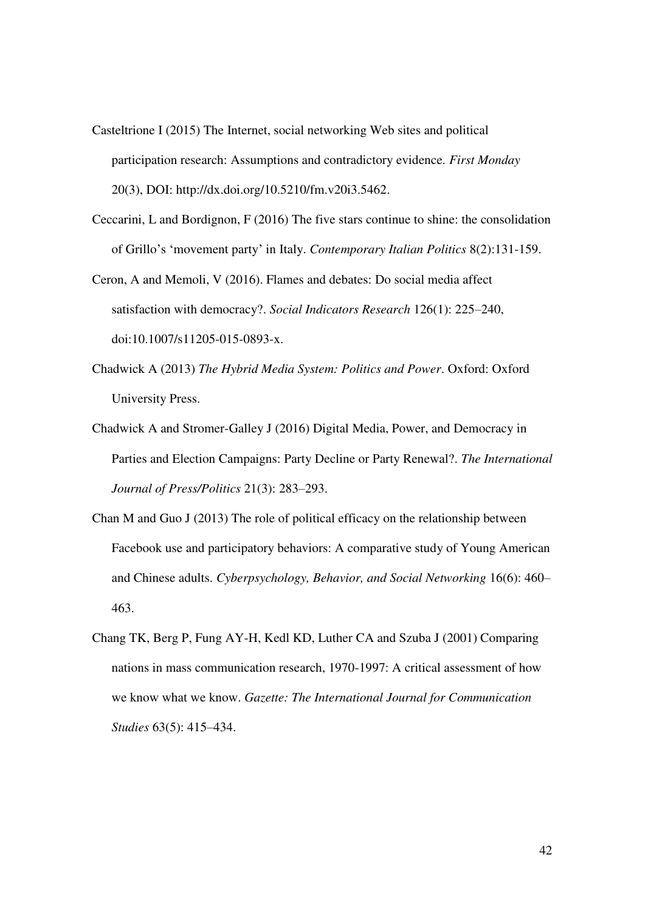- Casteltrione I (2015) The Internet, social networking Web sites and political participation research: Assumptions and contradictory evidence. *First Monday* 20(3), DOI: http://dx.doi.org/10.5210/fm.v20i3.5462.
- Ceccarini, L and Bordignon, F (2016) The five stars continue to shine: the consolidation of Grillo's 'movement party' in Italy. *Contemporary Italian Politics* 8(2):131-159.

Ceron, A and Memoli, V (2016). Flames and debates: Do social media affect satisfaction with democracy?. *Social Indicators Research* 126(1): 225–240, doi:10.1007/s11205-015-0893-x.

- Chadwick A (2013) *The Hybrid Media System: Politics and Power*. Oxford: Oxford University Press.
- Chadwick A and Stromer-Galley J (2016) Digital Media, Power, and Democracy in Parties and Election Campaigns: Party Decline or Party Renewal?. *The International Journal of Press/Politics* 21(3): 283–293.
- Chan M and Guo J (2013) The role of political efficacy on the relationship between Facebook use and participatory behaviors: A comparative study of Young American and Chinese adults. *Cyberpsychology, Behavior, and Social Networking* 16(6): 460– 463.
- Chang TK, Berg P, Fung AY-H, Kedl KD, Luther CA and Szuba J (2001) Comparing nations in mass communication research, 1970-1997: A critical assessment of how we know what we know. *Gazette: The International Journal for Communication Studies* 63(5): 415–434.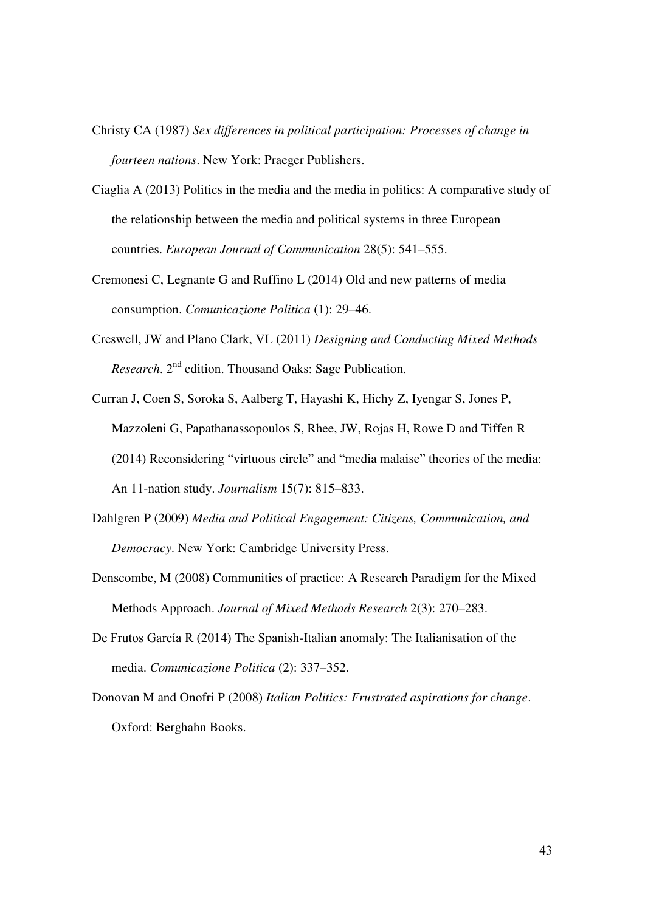- Christy CA (1987) *Sex differences in political participation: Processes of change in fourteen nations*. New York: Praeger Publishers.
- Ciaglia A (2013) Politics in the media and the media in politics: A comparative study of the relationship between the media and political systems in three European countries. *European Journal of Communication* 28(5): 541–555.
- Cremonesi C, Legnante G and Ruffino L (2014) Old and new patterns of media consumption. *Comunicazione Politica* (1): 29–46.
- Creswell, JW and Plano Clark, VL (2011) *Designing and Conducting Mixed Methods Research*. 2nd edition. Thousand Oaks: Sage Publication.
- Curran J, Coen S, Soroka S, Aalberg T, Hayashi K, Hichy Z, Iyengar S, Jones P, Mazzoleni G, Papathanassopoulos S, Rhee, JW, Rojas H, Rowe D and Tiffen R (2014) Reconsidering "virtuous circle" and "media malaise" theories of the media: An 11-nation study. *Journalism* 15(7): 815–833.
- Dahlgren P (2009) *Media and Political Engagement: Citizens, Communication, and Democracy*. New York: Cambridge University Press.
- Denscombe, M (2008) Communities of practice: A Research Paradigm for the Mixed Methods Approach. *Journal of Mixed Methods Research* 2(3): 270–283.
- De Frutos García R (2014) The Spanish-Italian anomaly: The Italianisation of the media. *Comunicazione Politica* (2): 337–352.
- Donovan M and Onofri P (2008) *Italian Politics: Frustrated aspirations for change*. Oxford: Berghahn Books.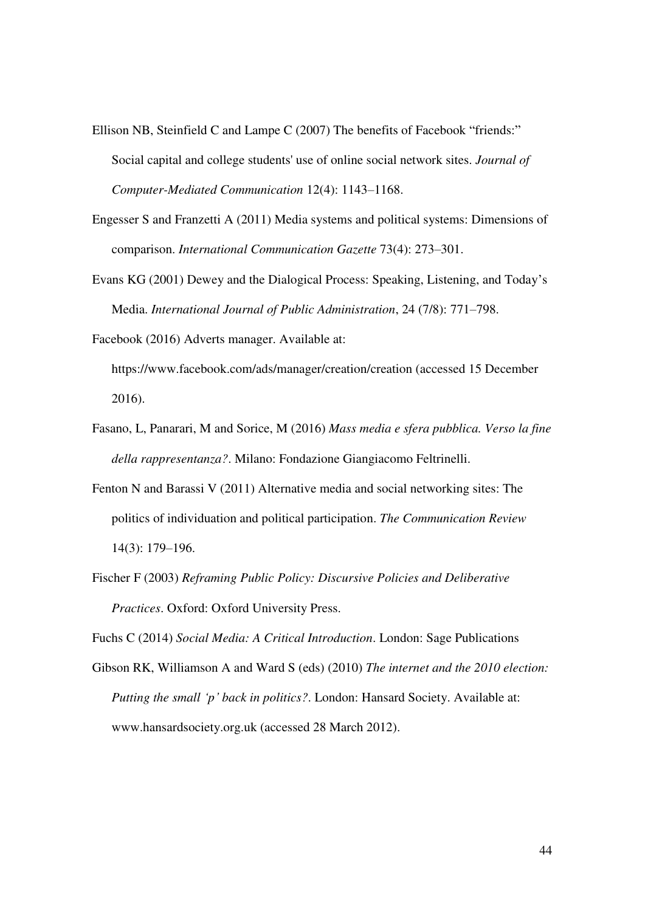- Ellison NB, Steinfield C and Lampe C (2007) The benefits of Facebook "friends:" Social capital and college students' use of online social network sites. *Journal of Computer-Mediated Communication* 12(4): 1143–1168.
- Engesser S and Franzetti A (2011) Media systems and political systems: Dimensions of comparison. *International Communication Gazette* 73(4): 273–301.
- Evans KG (2001) Dewey and the Dialogical Process: Speaking, Listening, and Today's Media. *International Journal of Public Administration*, 24 (7/8): 771–798.
- Facebook (2016) Adverts manager. Available at: https://www.facebook.com/ads/manager/creation/creation (accessed 15 December 2016).
- Fasano, L, Panarari, M and Sorice, M (2016) *Mass media e sfera pubblica. Verso la fine della rappresentanza?*. Milano: Fondazione Giangiacomo Feltrinelli.
- Fenton N and Barassi V (2011) Alternative media and social networking sites: The politics of individuation and political participation. *The Communication Review* 14(3): 179–196.
- Fischer F (2003) *Reframing Public Policy: Discursive Policies and Deliberative Practices*. Oxford: Oxford University Press.

Fuchs C (2014) *Social Media: A Critical Introduction*. London: Sage Publications

Gibson RK, Williamson A and Ward S (eds) (2010) *The internet and the 2010 election: Putting the small 'p' back in politics?*. London: Hansard Society. Available at: www.hansardsociety.org.uk (accessed 28 March 2012).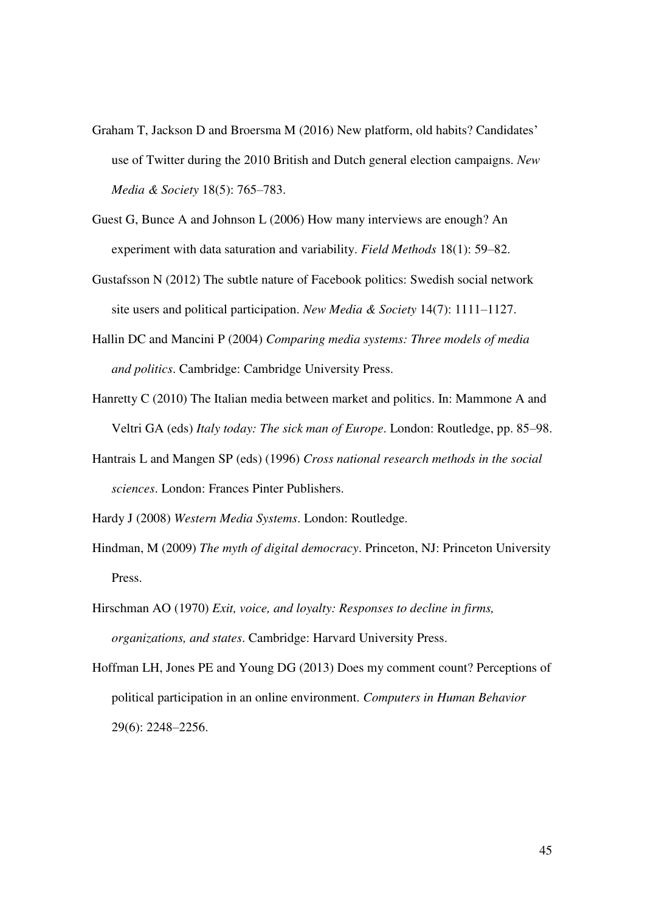- Graham T, Jackson D and Broersma M (2016) New platform, old habits? Candidates' use of Twitter during the 2010 British and Dutch general election campaigns. *New Media & Society* 18(5): 765–783.
- Guest G, Bunce A and Johnson L (2006) How many interviews are enough? An experiment with data saturation and variability. *Field Methods* 18(1): 59–82.
- Gustafsson N (2012) The subtle nature of Facebook politics: Swedish social network site users and political participation. *New Media & Society* 14(7): 1111–1127.
- Hallin DC and Mancini P (2004) *Comparing media systems: Three models of media and politics*. Cambridge: Cambridge University Press.
- Hanretty C (2010) The Italian media between market and politics. In: Mammone A and Veltri GA (eds) *Italy today: The sick man of Europe*. London: Routledge, pp. 85–98.
- Hantrais L and Mangen SP (eds) (1996) *Cross national research methods in the social sciences*. London: Frances Pinter Publishers.
- Hardy J (2008) *Western Media Systems*. London: Routledge.
- Hindman, M (2009) *The myth of digital democracy*. Princeton, NJ: Princeton University Press.
- Hirschman AO (1970) *Exit, voice, and loyalty: Responses to decline in firms, organizations, and states*. Cambridge: Harvard University Press.
- Hoffman LH, Jones PE and Young DG (2013) Does my comment count? Perceptions of political participation in an online environment. *Computers in Human Behavior* 29(6): 2248–2256.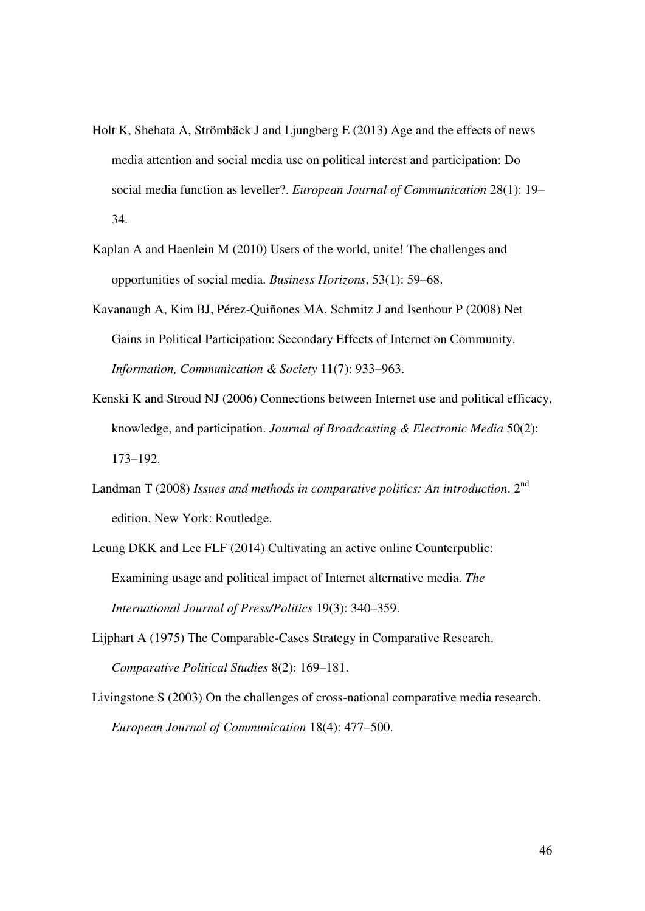- Holt K, Shehata A, Strömbäck J and Ljungberg E (2013) Age and the effects of news media attention and social media use on political interest and participation: Do social media function as leveller?. *European Journal of Communication* 28(1): 19– 34.
- Kaplan A and Haenlein M (2010) Users of the world, unite! The challenges and opportunities of social media. *Business Horizons*, 53(1): 59–68.
- Kavanaugh A, Kim BJ, Pérez-Quiñones MA, Schmitz J and Isenhour P (2008) Net Gains in Political Participation: Secondary Effects of Internet on Community. *Information, Communication & Society* 11(7): 933–963.
- Kenski K and Stroud NJ (2006) Connections between Internet use and political efficacy, knowledge, and participation. *Journal of Broadcasting & Electronic Media* 50(2): 173–192.
- Landman T (2008) *Issues and methods in comparative politics: An introduction*. 2<sup>nd</sup> edition. New York: Routledge.
- Leung DKK and Lee FLF (2014) Cultivating an active online Counterpublic: Examining usage and political impact of Internet alternative media. *The International Journal of Press/Politics* 19(3): 340–359.
- Lijphart A (1975) The Comparable-Cases Strategy in Comparative Research. *Comparative Political Studies* 8(2): 169–181.
- Livingstone S (2003) On the challenges of cross-national comparative media research. *European Journal of Communication* 18(4): 477–500.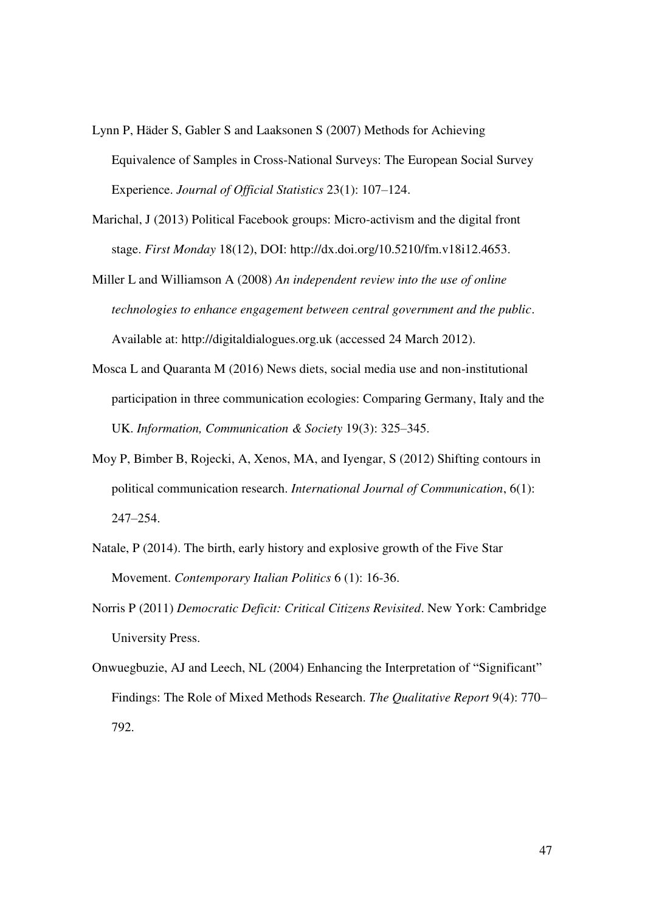- Lynn P, Häder S, Gabler S and Laaksonen S (2007) Methods for Achieving Equivalence of Samples in Cross-National Surveys: The European Social Survey Experience. *Journal of Official Statistics* 23(1): 107–124.
- Marichal, J (2013) Political Facebook groups: Micro-activism and the digital front stage. *First Monday* 18(12), DOI: http://dx.doi.org/10.5210/fm.v18i12.4653.
- Miller L and Williamson A (2008) *An independent review into the use of online technologies to enhance engagement between central government and the public*. Available at: http://digitaldialogues.org.uk (accessed 24 March 2012).
- Mosca L and Quaranta M (2016) News diets, social media use and non-institutional participation in three communication ecologies: Comparing Germany, Italy and the UK. *Information, Communication & Society* 19(3): 325–345.
- Moy P, Bimber B, Rojecki, A, Xenos, MA, and Iyengar, S (2012) Shifting contours in political communication research. *International Journal of Communication*, 6(1): 247–254.
- Natale, P (2014). The birth, early history and explosive growth of the Five Star Movement. *Contemporary Italian Politics* 6 (1): 16-36.
- Norris P (2011) *Democratic Deficit: Critical Citizens Revisited*. New York: Cambridge University Press.
- Onwuegbuzie, AJ and Leech, NL (2004) Enhancing the Interpretation of "Significant" Findings: The Role of Mixed Methods Research. *The Qualitative Report* 9(4): 770– 792.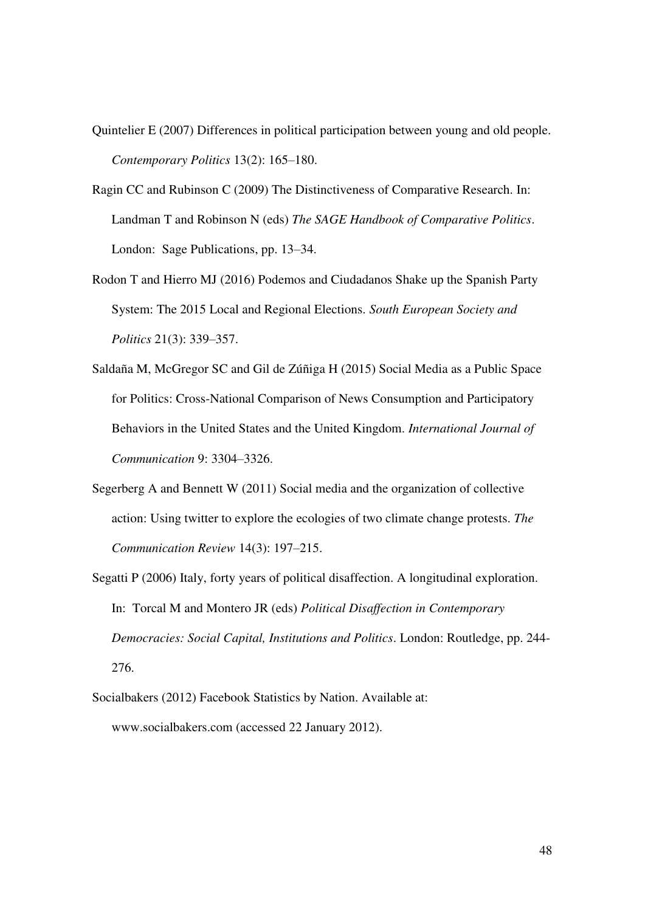- Quintelier E (2007) Differences in political participation between young and old people. *Contemporary Politics* 13(2): 165–180.
- Ragin CC and Rubinson C (2009) The Distinctiveness of Comparative Research. In: Landman T and Robinson N (eds) *The SAGE Handbook of Comparative Politics*. London: Sage Publications, pp. 13–34.
- Rodon T and Hierro MJ (2016) Podemos and Ciudadanos Shake up the Spanish Party System: The 2015 Local and Regional Elections. *South European Society and Politics* 21(3): 339–357.
- Saldaña M, McGregor SC and Gil de Zúñiga H (2015) Social Media as a Public Space for Politics: Cross-National Comparison of News Consumption and Participatory Behaviors in the United States and the United Kingdom. *International Journal of Communication* 9: 3304–3326.
- Segerberg A and Bennett W (2011) Social media and the organization of collective action: Using twitter to explore the ecologies of two climate change protests. *The Communication Review* 14(3): 197–215.
- Segatti P (2006) Italy, forty years of political disaffection. A longitudinal exploration. In: Torcal M and Montero JR (eds) *Political Disaffection in Contemporary Democracies: Social Capital, Institutions and Politics*. London: Routledge, pp. 244- 276.
- Socialbakers (2012) Facebook Statistics by Nation. Available at: www.socialbakers.com (accessed 22 January 2012).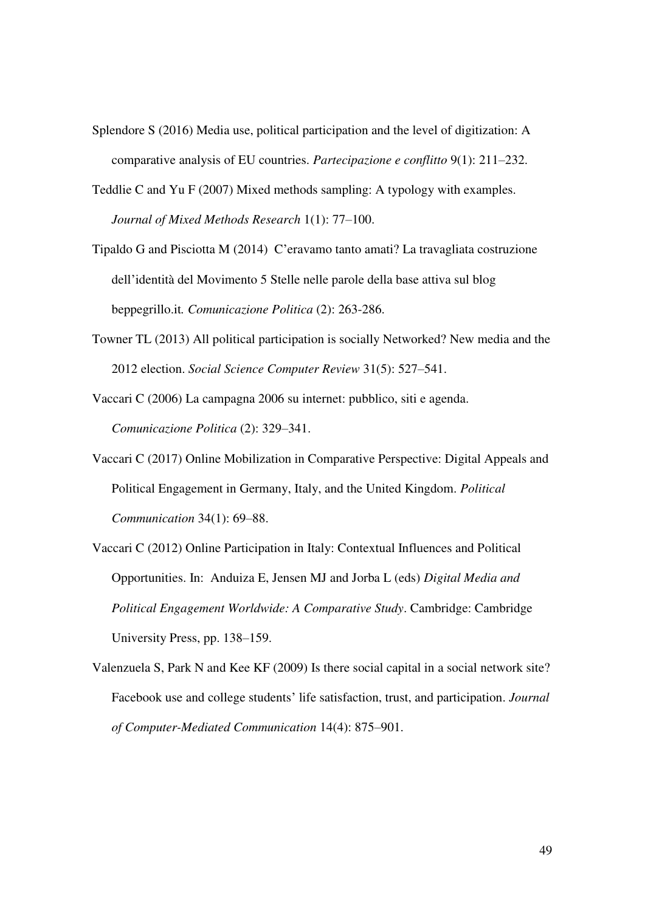- Splendore S (2016) Media use, political participation and the level of digitization: A comparative analysis of EU countries. *Partecipazione e conflitto* 9(1): 211–232.
- Teddlie C and Yu F (2007) Mixed methods sampling: A typology with examples. *Journal of Mixed Methods Research* 1(1): 77–100.
- Tipaldo G and Pisciotta M (2014) C'eravamo tanto amati? La travagliata costruzione dell'identità del Movimento 5 Stelle nelle parole della base attiva sul blog beppegrillo.it*. Comunicazione Politica* (2): 263-286.
- Towner TL (2013) All political participation is socially Networked? New media and the 2012 election. *Social Science Computer Review* 31(5): 527–541.
- Vaccari C (2006) La campagna 2006 su internet: pubblico, siti e agenda. *Comunicazione Politica* (2): 329–341.
- Vaccari C (2017) Online Mobilization in Comparative Perspective: Digital Appeals and Political Engagement in Germany, Italy, and the United Kingdom. *Political Communication* 34(1): 69–88.
- Vaccari C (2012) Online Participation in Italy: Contextual Influences and Political Opportunities. In: Anduiza E, Jensen MJ and Jorba L (eds) *Digital Media and Political Engagement Worldwide: A Comparative Study*. Cambridge: Cambridge University Press, pp. 138–159.
- Valenzuela S, Park N and Kee KF (2009) Is there social capital in a social network site? Facebook use and college students' life satisfaction, trust, and participation. *Journal of Computer-Mediated Communication* 14(4): 875–901.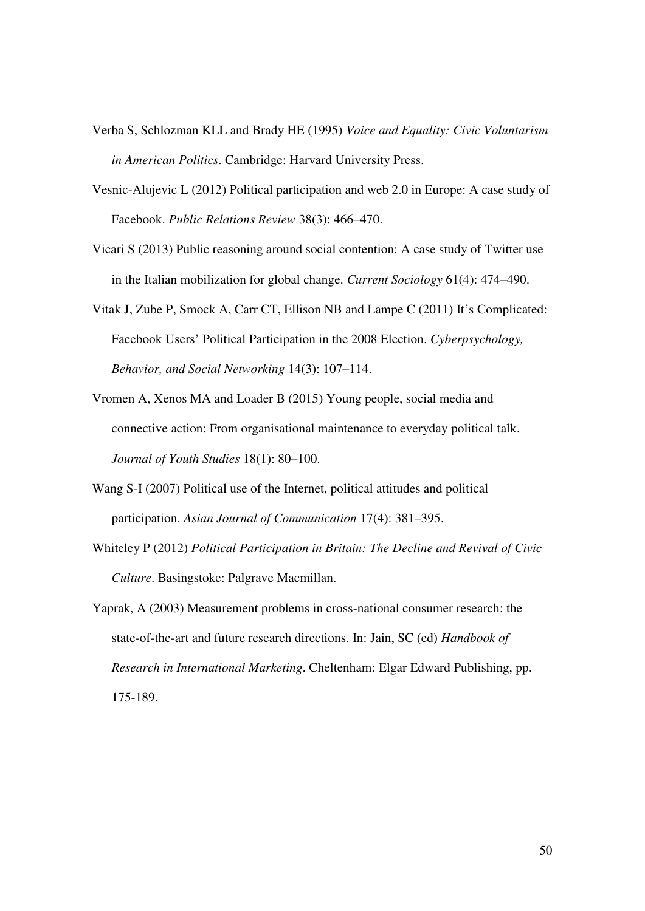- Verba S, Schlozman KLL and Brady HE (1995) *Voice and Equality: Civic Voluntarism in American Politics*. Cambridge: Harvard University Press.
- Vesnic-Alujevic L (2012) Political participation and web 2.0 in Europe: A case study of Facebook. *Public Relations Review* 38(3): 466–470.
- Vicari S (2013) Public reasoning around social contention: A case study of Twitter use in the Italian mobilization for global change. *Current Sociology* 61(4): 474–490.
- Vitak J, Zube P, Smock A, Carr CT, Ellison NB and Lampe C (2011) It's Complicated: Facebook Users' Political Participation in the 2008 Election. *Cyberpsychology, Behavior, and Social Networking* 14(3): 107–114.
- Vromen A, Xenos MA and Loader B (2015) Young people, social media and connective action: From organisational maintenance to everyday political talk. *Journal of Youth Studies* 18(1): 80–100.
- Wang S-I (2007) Political use of the Internet, political attitudes and political participation. *Asian Journal of Communication* 17(4): 381–395.
- Whiteley P (2012) *Political Participation in Britain: The Decline and Revival of Civic Culture*. Basingstoke: Palgrave Macmillan.
- Yaprak, A (2003) Measurement problems in cross-national consumer research: the state-of-the-art and future research directions. In: Jain, SC (ed) *Handbook of Research in International Marketing*. Cheltenham: Elgar Edward Publishing, pp. 175-189.